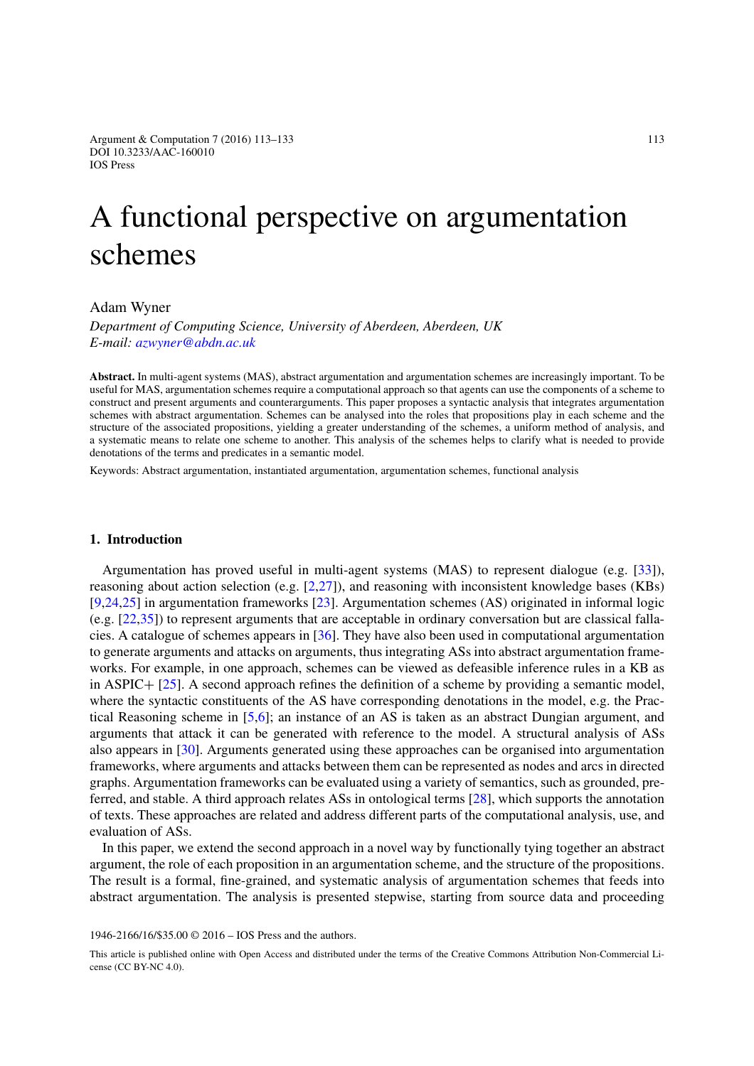Argument & Computation 7 (2016) 113–133 113 DOI 10.3233/AAC-160010 IOS Press

# A functional perspective on argumentation schemes

# Adam Wyner

*Department of Computing Science, University of Aberdeen, Aberdeen, UK E-mail: [azwyner@abdn.ac.uk](mailto:azwyner@abdn.ac.uk)*

**Abstract.** In multi-agent systems (MAS), abstract argumentation and argumentation schemes are increasingly important. To be useful for MAS, argumentation schemes require a computational approach so that agents can use the components of a scheme to construct and present arguments and counterarguments. This paper proposes a syntactic analysis that integrates argumentation schemes with abstract argumentation. Schemes can be analysed into the roles that propositions play in each scheme and the structure of the associated propositions, yielding a greater understanding of the schemes, a uniform method of analysis, and a systematic means to relate one scheme to another. This analysis of the schemes helps to clarify what is needed to provide denotations of the terms and predicates in a semantic model.

Keywords: Abstract argumentation, instantiated argumentation, argumentation schemes, functional analysis

## **1. Introduction**

Argumentation has proved useful in multi-agent systems (MAS) to represent dialogue (e.g. [\[33](#page-19-0)]), reasoning about action selection (e.g. [\[2](#page-18-0)[,27\]](#page-19-1)), and reasoning with inconsistent knowledge bases (KBs) [\[9](#page-19-2)[,24](#page-19-3)[,25\]](#page-19-4) in argumentation frameworks [\[23\]](#page-19-5). Argumentation schemes (AS) originated in informal logic (e.g. [\[22](#page-19-6)[,35\]](#page-19-7)) to represent arguments that are acceptable in ordinary conversation but are classical fallacies. A catalogue of schemes appears in [\[36\]](#page-20-0). They have also been used in computational argumentation to generate arguments and attacks on arguments, thus integrating ASs into abstract argumentation frameworks. For example, in one approach, schemes can be viewed as defeasible inference rules in a KB as in ASPIC+ [\[25](#page-19-4)]. A second approach refines the definition of a scheme by providing a semantic model, where the syntactic constituents of the AS have corresponding denotations in the model, e.g. the Practical Reasoning scheme in [\[5](#page-18-1)[,6](#page-18-2)]; an instance of an AS is taken as an abstract Dungian argument, and arguments that attack it can be generated with reference to the model. A structural analysis of ASs also appears in [\[30\]](#page-19-8). Arguments generated using these approaches can be organised into argumentation frameworks, where arguments and attacks between them can be represented as nodes and arcs in directed graphs. Argumentation frameworks can be evaluated using a variety of semantics, such as grounded, preferred, and stable. A third approach relates ASs in ontological terms [\[28](#page-19-9)], which supports the annotation of texts. These approaches are related and address different parts of the computational analysis, use, and evaluation of ASs.

In this paper, we extend the second approach in a novel way by functionally tying together an abstract argument, the role of each proposition in an argumentation scheme, and the structure of the propositions. The result is a formal, fine-grained, and systematic analysis of argumentation schemes that feeds into abstract argumentation. The analysis is presented stepwise, starting from source data and proceeding

1946-2166/16/\$35.00 © 2016 – IOS Press and the authors.

This article is published online with Open Access and distributed under the terms of the Creative Commons Attribution Non-Commercial License (CC BY-NC 4.0).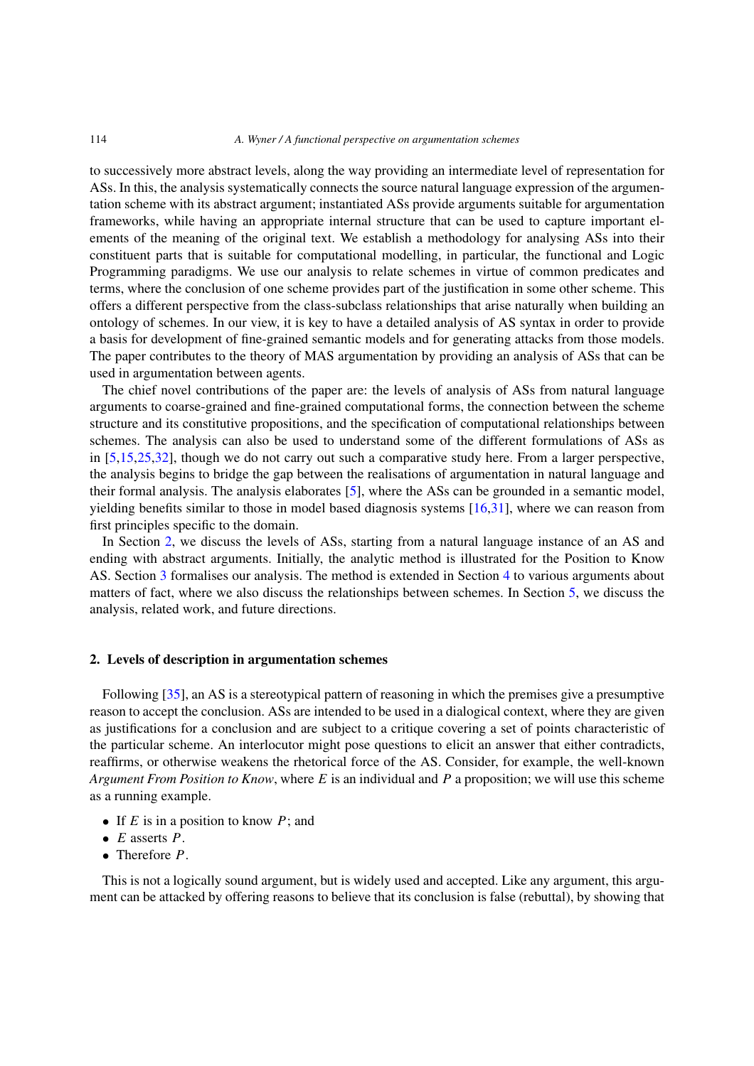#### 114 *A. Wyner / A functional perspective on argumentation schemes*

to successively more abstract levels, along the way providing an intermediate level of representation for ASs. In this, the analysis systematically connects the source natural language expression of the argumentation scheme with its abstract argument; instantiated ASs provide arguments suitable for argumentation frameworks, while having an appropriate internal structure that can be used to capture important elements of the meaning of the original text. We establish a methodology for analysing ASs into their constituent parts that is suitable for computational modelling, in particular, the functional and Logic Programming paradigms. We use our analysis to relate schemes in virtue of common predicates and terms, where the conclusion of one scheme provides part of the justification in some other scheme. This offers a different perspective from the class-subclass relationships that arise naturally when building an ontology of schemes. In our view, it is key to have a detailed analysis of AS syntax in order to provide a basis for development of fine-grained semantic models and for generating attacks from those models. The paper contributes to the theory of MAS argumentation by providing an analysis of ASs that can be used in argumentation between agents.

The chief novel contributions of the paper are: the levels of analysis of ASs from natural language arguments to coarse-grained and fine-grained computational forms, the connection between the scheme structure and its constitutive propositions, and the specification of computational relationships between schemes. The analysis can also be used to understand some of the different formulations of ASs as in [\[5](#page-18-1)[,15](#page-19-10)[,25](#page-19-4)[,32](#page-19-11)], though we do not carry out such a comparative study here. From a larger perspective, the analysis begins to bridge the gap between the realisations of argumentation in natural language and their formal analysis. The analysis elaborates [\[5](#page-18-1)], where the ASs can be grounded in a semantic model, yielding benefits similar to those in model based diagnosis systems [\[16](#page-19-12)[,31](#page-19-13)], where we can reason from first principles specific to the domain.

In Section [2,](#page-1-0) we discuss the levels of ASs, starting from a natural language instance of an AS and ending with abstract arguments. Initially, the analytic method is illustrated for the Position to Know AS. Section [3](#page-9-0) formalises our analysis. The method is extended in Section [4](#page-11-0) to various arguments about matters of fact, where we also discuss the relationships between schemes. In Section [5,](#page-16-0) we discuss the analysis, related work, and future directions.

# <span id="page-1-0"></span>**2. Levels of description in argumentation schemes**

Following [\[35](#page-19-7)], an AS is a stereotypical pattern of reasoning in which the premises give a presumptive reason to accept the conclusion. ASs are intended to be used in a dialogical context, where they are given as justifications for a conclusion and are subject to a critique covering a set of points characteristic of the particular scheme. An interlocutor might pose questions to elicit an answer that either contradicts, reaffirms, or otherwise weakens the rhetorical force of the AS. Consider, for example, the well-known *Argument From Position to Know*, where *E* is an individual and *P* a proposition; we will use this scheme as a running example.

- If *E* is in a position to know *P*; and
- *E* asserts *P*.
- Therefore *P*.

This is not a logically sound argument, but is widely used and accepted. Like any argument, this argument can be attacked by offering reasons to believe that its conclusion is false (rebuttal), by showing that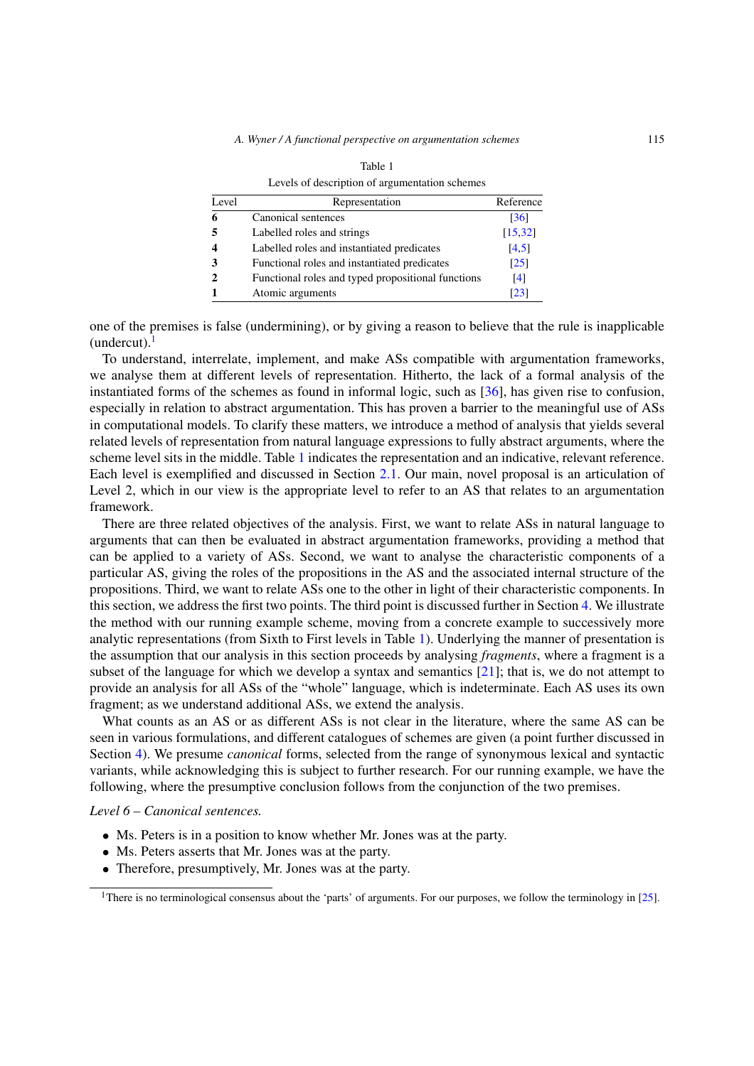|       | Levels of description of argumentation schemes     |                    |
|-------|----------------------------------------------------|--------------------|
| Level | Representation                                     | Reference          |
| 6     | Canonical sentences                                | $\lceil 36 \rceil$ |
| 5     | Labelled roles and strings                         | [15, 32]           |
|       | Labelled roles and instantiated predicates         | [4,5]              |
|       | Functional roles and instantiated predicates       | $\lceil 25 \rceil$ |
|       | Functional roles and typed propositional functions | $\lceil 4 \rceil$  |
|       | Atomic arguments                                   | [23]               |

<span id="page-2-1"></span>

| Table 1                                        |
|------------------------------------------------|
| Levels of description of argumentation schemes |

one of the premises is false (undermining), or by giving a reason to believe that the rule is inapplicable (undercut). $<sup>1</sup>$ </sup>

To understand, interrelate, implement, and make ASs compatible with argumentation frameworks, we analyse them at different levels of representation. Hitherto, the lack of a formal analysis of the instantiated forms of the schemes as found in informal logic, such as [\[36\]](#page-20-0), has given rise to confusion, especially in relation to abstract argumentation. This has proven a barrier to the meaningful use of ASs in computational models. To clarify these matters, we introduce a method of analysis that yields several related levels of representation from natural language expressions to fully abstract arguments, where the scheme level sits in the middle. Table [1](#page-2-1) indicates the representation and an indicative, relevant reference. Each level is exemplified and discussed in Section [2.1.](#page-3-0) Our main, novel proposal is an articulation of Level 2, which in our view is the appropriate level to refer to an AS that relates to an argumentation framework.

There are three related objectives of the analysis. First, we want to relate ASs in natural language to arguments that can then be evaluated in abstract argumentation frameworks, providing a method that can be applied to a variety of ASs. Second, we want to analyse the characteristic components of a particular AS, giving the roles of the propositions in the AS and the associated internal structure of the propositions. Third, we want to relate ASs one to the other in light of their characteristic components. In this section, we address the first two points. The third point is discussed further in Section [4.](#page-11-0) We illustrate the method with our running example scheme, moving from a concrete example to successively more analytic representations (from Sixth to First levels in Table [1\)](#page-2-1). Underlying the manner of presentation is the assumption that our analysis in this section proceeds by analysing *fragments*, where a fragment is a subset of the language for which we develop a syntax and semantics [\[21\]](#page-19-14); that is, we do not attempt to provide an analysis for all ASs of the "whole" language, which is indeterminate. Each AS uses its own fragment; as we understand additional ASs, we extend the analysis.

What counts as an AS or as different ASs is not clear in the literature, where the same AS can be seen in various formulations, and different catalogues of schemes are given (a point further discussed in Section [4\)](#page-11-0). We presume *canonical* forms, selected from the range of synonymous lexical and syntactic variants, while acknowledging this is subject to further research. For our running example, we have the following, where the presumptive conclusion follows from the conjunction of the two premises.

## *Level 6 – Canonical sentences.*

- Ms. Peters is in a position to know whether Mr. Jones was at the party.
- Ms. Peters asserts that Mr. Jones was at the party.
- Therefore, presumptively, Mr. Jones was at the party.

<span id="page-2-0"></span><sup>&</sup>lt;sup>1</sup>There is no terminological consensus about the 'parts' of arguments. For our purposes, we follow the terminology in [\[25\]](#page-19-4).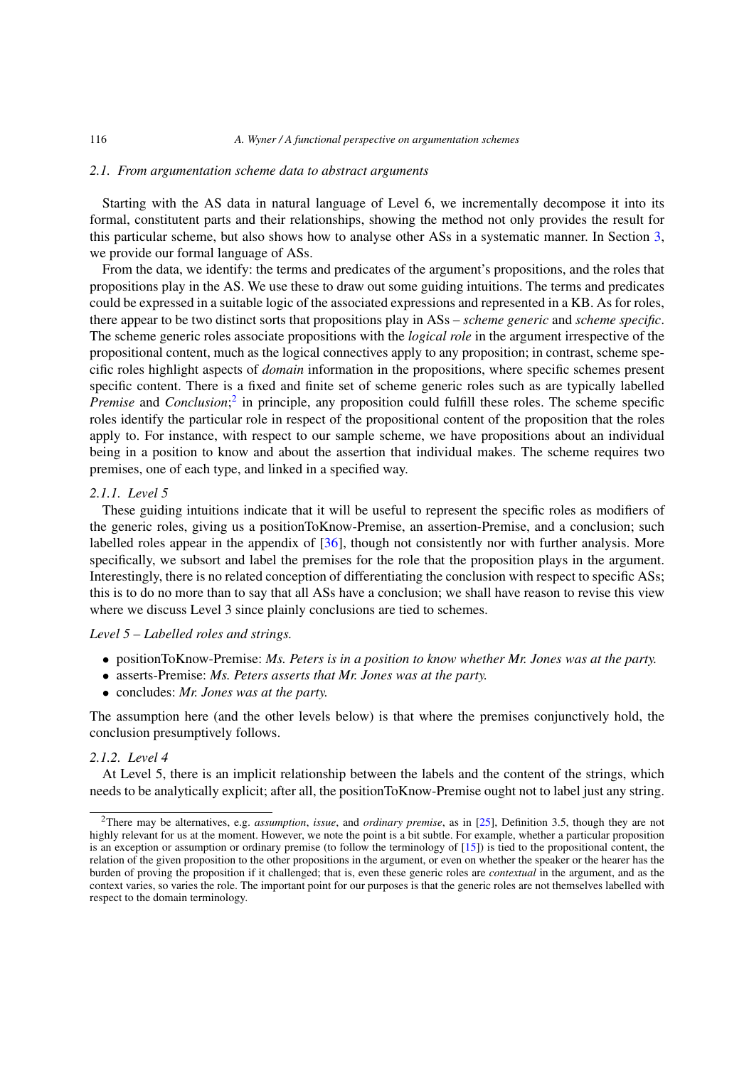## <span id="page-3-0"></span>*2.1. From argumentation scheme data to abstract arguments*

Starting with the AS data in natural language of Level 6, we incrementally decompose it into its formal, constitutent parts and their relationships, showing the method not only provides the result for this particular scheme, but also shows how to analyse other ASs in a systematic manner. In Section [3,](#page-9-0) we provide our formal language of ASs.

From the data, we identify: the terms and predicates of the argument's propositions, and the roles that propositions play in the AS. We use these to draw out some guiding intuitions. The terms and predicates could be expressed in a suitable logic of the associated expressions and represented in a KB. As for roles, there appear to be two distinct sorts that propositions play in ASs – *scheme generic* and *scheme specific*. The scheme generic roles associate propositions with the *logical role* in the argument irrespective of the propositional content, much as the logical connectives apply to any proposition; in contrast, scheme specific roles highlight aspects of *domain* information in the propositions, where specific schemes present specific content. There is a fixed and finite set of scheme generic roles such as are typically labelled *Premise* and *Conclusion*;<sup>[2](#page-3-1)</sup> in principle, any proposition could fulfill these roles. The scheme specific roles identify the particular role in respect of the propositional content of the proposition that the roles apply to. For instance, with respect to our sample scheme, we have propositions about an individual being in a position to know and about the assertion that individual makes. The scheme requires two premises, one of each type, and linked in a specified way.

# *2.1.1. Level 5*

These guiding intuitions indicate that it will be useful to represent the specific roles as modifiers of the generic roles, giving us a positionToKnow-Premise, an assertion-Premise, and a conclusion; such labelled roles appear in the appendix of [\[36\]](#page-20-0), though not consistently nor with further analysis. More specifically, we subsort and label the premises for the role that the proposition plays in the argument. Interestingly, there is no related conception of differentiating the conclusion with respect to specific ASs; this is to do no more than to say that all ASs have a conclusion; we shall have reason to revise this view where we discuss Level 3 since plainly conclusions are tied to schemes.

## *Level 5 – Labelled roles and strings.*

- positionToKnow-Premise: *Ms. Peters is in a position to know whether Mr. Jones was at the party.*
- asserts-Premise: *Ms. Peters asserts that Mr. Jones was at the party.*
- concludes: *Mr. Jones was at the party.*

The assumption here (and the other levels below) is that where the premises conjunctively hold, the conclusion presumptively follows.

# *2.1.2. Level 4*

At Level 5, there is an implicit relationship between the labels and the content of the strings, which needs to be analytically explicit; after all, the positionToKnow-Premise ought not to label just any string.

<span id="page-3-1"></span><sup>2</sup>There may be alternatives, e.g. *assumption*, *issue*, and *ordinary premise*, as in [\[25](#page-19-4)], Definition 3.5, though they are not highly relevant for us at the moment. However, we note the point is a bit subtle. For example, whether a particular proposition is an exception or assumption or ordinary premise (to follow the terminology of [\[15\]](#page-19-10)) is tied to the propositional content, the relation of the given proposition to the other propositions in the argument, or even on whether the speaker or the hearer has the burden of proving the proposition if it challenged; that is, even these generic roles are *contextual* in the argument, and as the context varies, so varies the role. The important point for our purposes is that the generic roles are not themselves labelled with respect to the domain terminology.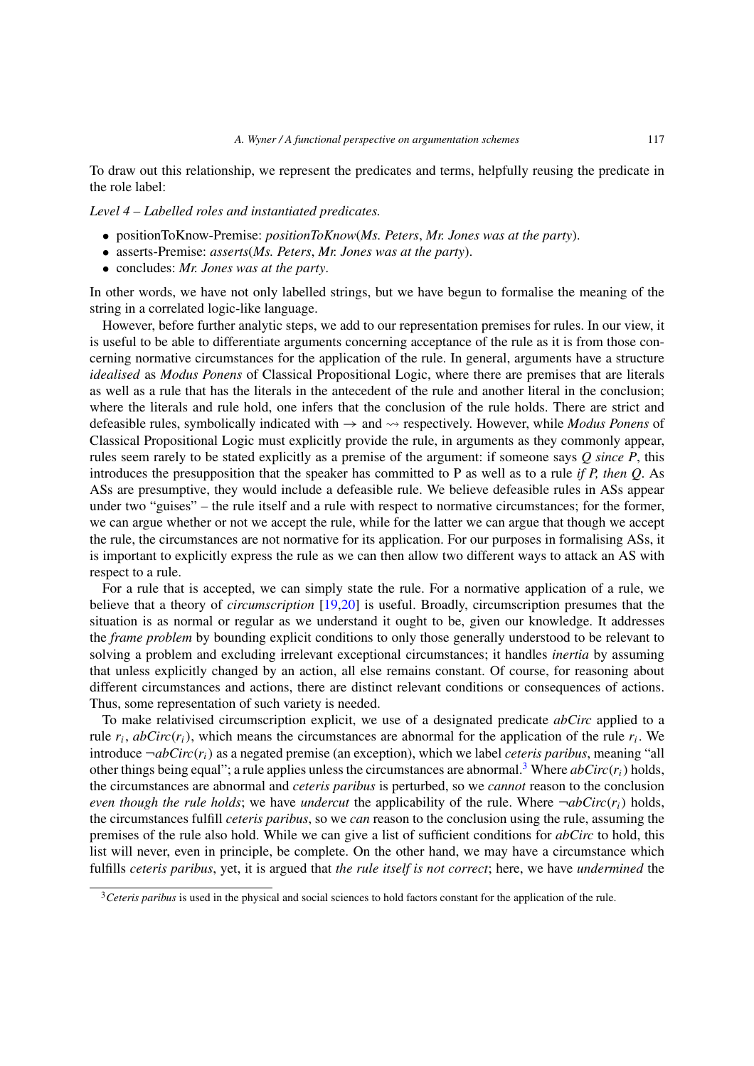To draw out this relationship, we represent the predicates and terms, helpfully reusing the predicate in the role label:

*Level 4 – Labelled roles and instantiated predicates.*

- positionToKnow-Premise: *positionToKnow*(*Ms. Peters*, *Mr. Jones was at the party*).
- asserts-Premise: *asserts*(*Ms. Peters*, *Mr. Jones was at the party*).
- concludes: *Mr. Jones was at the party*.

In other words, we have not only labelled strings, but we have begun to formalise the meaning of the string in a correlated logic-like language.

However, before further analytic steps, we add to our representation premises for rules. In our view, it is useful to be able to differentiate arguments concerning acceptance of the rule as it is from those concerning normative circumstances for the application of the rule. In general, arguments have a structure *idealised* as *Modus Ponens* of Classical Propositional Logic, where there are premises that are literals as well as a rule that has the literals in the antecedent of the rule and another literal in the conclusion; where the literals and rule hold, one infers that the conclusion of the rule holds. There are strict and defeasible rules, symbolically indicated with → and - respectively. However, while *Modus Ponens* of Classical Propositional Logic must explicitly provide the rule, in arguments as they commonly appear, rules seem rarely to be stated explicitly as a premise of the argument: if someone says *Q since P*, this introduces the presupposition that the speaker has committed to P as well as to a rule *if P, then Q*. As ASs are presumptive, they would include a defeasible rule. We believe defeasible rules in ASs appear under two "guises" – the rule itself and a rule with respect to normative circumstances; for the former, we can argue whether or not we accept the rule, while for the latter we can argue that though we accept the rule, the circumstances are not normative for its application. For our purposes in formalising ASs, it is important to explicitly express the rule as we can then allow two different ways to attack an AS with respect to a rule.

For a rule that is accepted, we can simply state the rule. For a normative application of a rule, we believe that a theory of *circumscription* [\[19](#page-19-15)[,20](#page-19-16)] is useful. Broadly, circumscription presumes that the situation is as normal or regular as we understand it ought to be, given our knowledge. It addresses the *frame problem* by bounding explicit conditions to only those generally understood to be relevant to solving a problem and excluding irrelevant exceptional circumstances; it handles *inertia* by assuming that unless explicitly changed by an action, all else remains constant. Of course, for reasoning about different circumstances and actions, there are distinct relevant conditions or consequences of actions. Thus, some representation of such variety is needed.

To make relativised circumscription explicit, we use of a designated predicate *abCirc* applied to a rule  $r_i$ ,  $abCirc(r_i)$ , which means the circumstances are abnormal for the application of the rule  $r_i$ . We introduce ¬*abCirc(ri)* as a negated premise (an exception), which we label *ceteris paribus*, meaning "all other things being equal"; a rule applies unless the circumstances are abnormal.<sup>3</sup> Where  $abCirc(r_i)$  holds, the circumstances are abnormal and *ceteris paribus* is perturbed, so we *cannot* reason to the conclusion *even though the rule holds*; we have *undercut* the applicability of the rule. Where  $\neg abCirc(r_i)$  holds, the circumstances fulfill *ceteris paribus*, so we *can* reason to the conclusion using the rule, assuming the premises of the rule also hold. While we can give a list of sufficient conditions for *abCirc* to hold, this list will never, even in principle, be complete. On the other hand, we may have a circumstance which fulfills *ceteris paribus*, yet, it is argued that *the rule itself is not correct*; here, we have *undermined* the

<span id="page-4-0"></span><sup>&</sup>lt;sup>3</sup>Ceteris paribus is used in the physical and social sciences to hold factors constant for the application of the rule.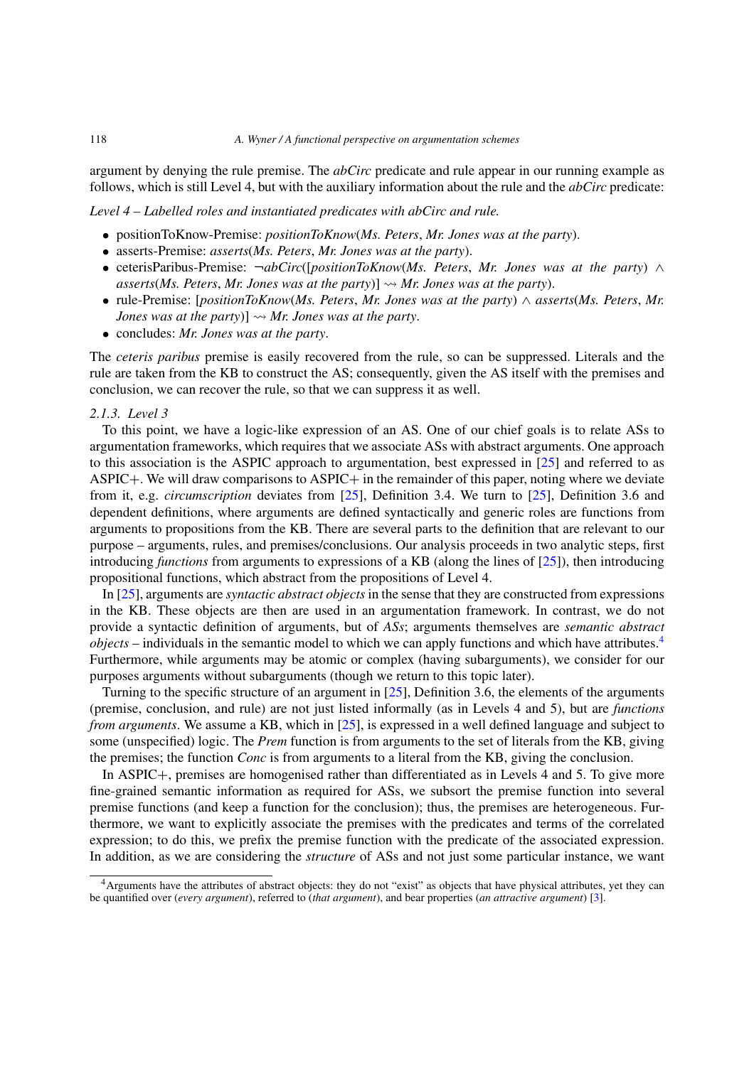argument by denying the rule premise. The *abCirc* predicate and rule appear in our running example as follows, which is still Level 4, but with the auxiliary information about the rule and the *abCirc* predicate:

*Level 4 – Labelled roles and instantiated predicates with abCirc and rule.*

- positionToKnow-Premise: *positionToKnow*(*Ms. Peters*, *Mr. Jones was at the party*).
- asserts-Premise: *asserts*(*Ms. Peters*, *Mr. Jones was at the party*).
- ceterisParibus-Premise: ¬*abCirc*([*positionToKnow*(*Ms. Peters*, *Mr. Jones was at the party*) ∧ *asserts*(*Ms. Peters*, *Mr. Jones was at the party*)] - *Mr. Jones was at the party*).
- rule-Premise: [*positionToKnow*(*Ms. Peters*, *Mr. Jones was at the party*) ∧ *asserts*(*Ms. Peters*, *Mr. Jones was at the party*)]  $\rightsquigarrow$  *Mr. Jones was at the party.*
- concludes: *Mr. Jones was at the party*.

The *ceteris paribus* premise is easily recovered from the rule, so can be suppressed. Literals and the rule are taken from the KB to construct the AS; consequently, given the AS itself with the premises and conclusion, we can recover the rule, so that we can suppress it as well.

# *2.1.3. Level 3*

To this point, we have a logic-like expression of an AS. One of our chief goals is to relate ASs to argumentation frameworks, which requires that we associate ASs with abstract arguments. One approach to this association is the ASPIC approach to argumentation, best expressed in [\[25\]](#page-19-4) and referred to as ASPIC+. We will draw comparisons to ASPIC+ in the remainder of this paper, noting where we deviate from it, e.g. *circumscription* deviates from [\[25](#page-19-4)], Definition 3.4. We turn to [\[25](#page-19-4)], Definition 3.6 and dependent definitions, where arguments are defined syntactically and generic roles are functions from arguments to propositions from the KB. There are several parts to the definition that are relevant to our purpose – arguments, rules, and premises/conclusions. Our analysis proceeds in two analytic steps, first introducing *functions* from arguments to expressions of a KB (along the lines of [\[25](#page-19-4)]), then introducing propositional functions, which abstract from the propositions of Level 4.

In [\[25\]](#page-19-4), arguments are *syntactic abstract objects* in the sense that they are constructed from expressions in the KB. These objects are then are used in an argumentation framework. In contrast, we do not provide a syntactic definition of arguments, but of *ASs*; arguments themselves are *semantic abstract objects* – individuals in the semantic model to which we can apply functions and which have attributes.<sup>4</sup> Furthermore, while arguments may be atomic or complex (having subarguments), we consider for our purposes arguments without subarguments (though we return to this topic later).

Turning to the specific structure of an argument in [\[25\]](#page-19-4), Definition 3.6, the elements of the arguments (premise, conclusion, and rule) are not just listed informally (as in Levels 4 and 5), but are *functions from arguments*. We assume a KB, which in [\[25\]](#page-19-4), is expressed in a well defined language and subject to some (unspecified) logic. The *Prem* function is from arguments to the set of literals from the KB, giving the premises; the function *Conc* is from arguments to a literal from the KB, giving the conclusion.

In ASPIC+, premises are homogenised rather than differentiated as in Levels 4 and 5. To give more fine-grained semantic information as required for ASs, we subsort the premise function into several premise functions (and keep a function for the conclusion); thus, the premises are heterogeneous. Furthermore, we want to explicitly associate the premises with the predicates and terms of the correlated expression; to do this, we prefix the premise function with the predicate of the associated expression. In addition, as we are considering the *structure* of ASs and not just some particular instance, we want

<span id="page-5-0"></span><sup>4</sup>Arguments have the attributes of abstract objects: they do not "exist" as objects that have physical attributes, yet they can be quantified over (*every argument*), referred to (*that argument*), and bear properties (*an attractive argument*) [\[3\]](#page-18-4).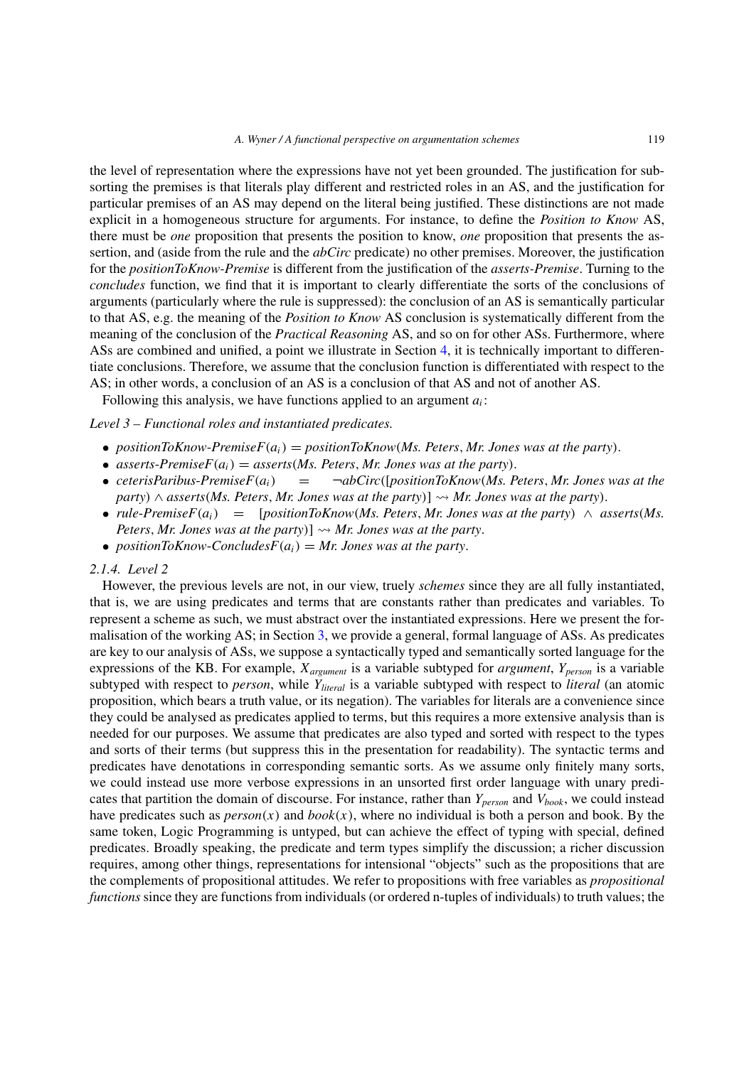the level of representation where the expressions have not yet been grounded. The justification for subsorting the premises is that literals play different and restricted roles in an AS, and the justification for particular premises of an AS may depend on the literal being justified. These distinctions are not made explicit in a homogeneous structure for arguments. For instance, to define the *Position to Know* AS, there must be *one* proposition that presents the position to know, *one* proposition that presents the assertion, and (aside from the rule and the *abCirc* predicate) no other premises. Moreover, the justification for the *positionToKnow-Premise* is different from the justification of the *asserts-Premise*. Turning to the *concludes* function, we find that it is important to clearly differentiate the sorts of the conclusions of arguments (particularly where the rule is suppressed): the conclusion of an AS is semantically particular to that AS, e.g. the meaning of the *Position to Know* AS conclusion is systematically different from the meaning of the conclusion of the *Practical Reasoning* AS, and so on for other ASs. Furthermore, where ASs are combined and unified, a point we illustrate in Section [4,](#page-11-0) it is technically important to differentiate conclusions. Therefore, we assume that the conclusion function is differentiated with respect to the AS; in other words, a conclusion of an AS is a conclusion of that AS and not of another AS.

Following this analysis, we have functions applied to an argument *ai*:

# *Level 3 – Functional roles and instantiated predicates.*

- *positionToKnow-PremiseF* $(a_i)$  = *positionToKnow* $(Ms.$  Peters, Mr. Jones was at the party).
- *asserts-PremiseF* $(a_i)$  = *asserts*(*Ms. Peters, Mr. Jones was at the party*).
- *ceterisParibus-PremiseF* $(a_i)$  =  $\neg abCirc([positionToKnow(Ms. Peters, Mr. Jones was at the$ *party)* ∧ *asserts(Ms. Peters, Mr. Jones was at the party)*] - *Mr. Jones was at the party)*.
- *rule*-*PremiseF*( $a_i$ ) = [*positionToKnow*(*Ms. Peters, Mr. Jones was at the party*)  $\land$  *asserts*(*Ms.*) *Peters, Mr. Jones was at the party)*] - *Mr. Jones was at the party*.
- *positionToKnow-ConcludesF* $(a_i) = Mr$ *. Jones was at the party.*

### *2.1.4. Level 2*

However, the previous levels are not, in our view, truely *schemes* since they are all fully instantiated, that is, we are using predicates and terms that are constants rather than predicates and variables. To represent a scheme as such, we must abstract over the instantiated expressions. Here we present the formalisation of the working AS; in Section [3,](#page-9-0) we provide a general, formal language of ASs. As predicates are key to our analysis of ASs, we suppose a syntactically typed and semantically sorted language for the expressions of the KB. For example, *Xargument* is a variable subtyped for *argument*, *Yperson* is a variable subtyped with respect to *person*, while *Yliteral* is a variable subtyped with respect to *literal* (an atomic proposition, which bears a truth value, or its negation). The variables for literals are a convenience since they could be analysed as predicates applied to terms, but this requires a more extensive analysis than is needed for our purposes. We assume that predicates are also typed and sorted with respect to the types and sorts of their terms (but suppress this in the presentation for readability). The syntactic terms and predicates have denotations in corresponding semantic sorts. As we assume only finitely many sorts, we could instead use more verbose expressions in an unsorted first order language with unary predicates that partition the domain of discourse. For instance, rather than *Yperson* and *Vbook*, we could instead have predicates such as  $person(x)$  and  $book(x)$ , where no individual is both a person and book. By the same token, Logic Programming is untyped, but can achieve the effect of typing with special, defined predicates. Broadly speaking, the predicate and term types simplify the discussion; a richer discussion requires, among other things, representations for intensional "objects" such as the propositions that are the complements of propositional attitudes. We refer to propositions with free variables as *propositional functions* since they are functions from individuals (or ordered n-tuples of individuals) to truth values; the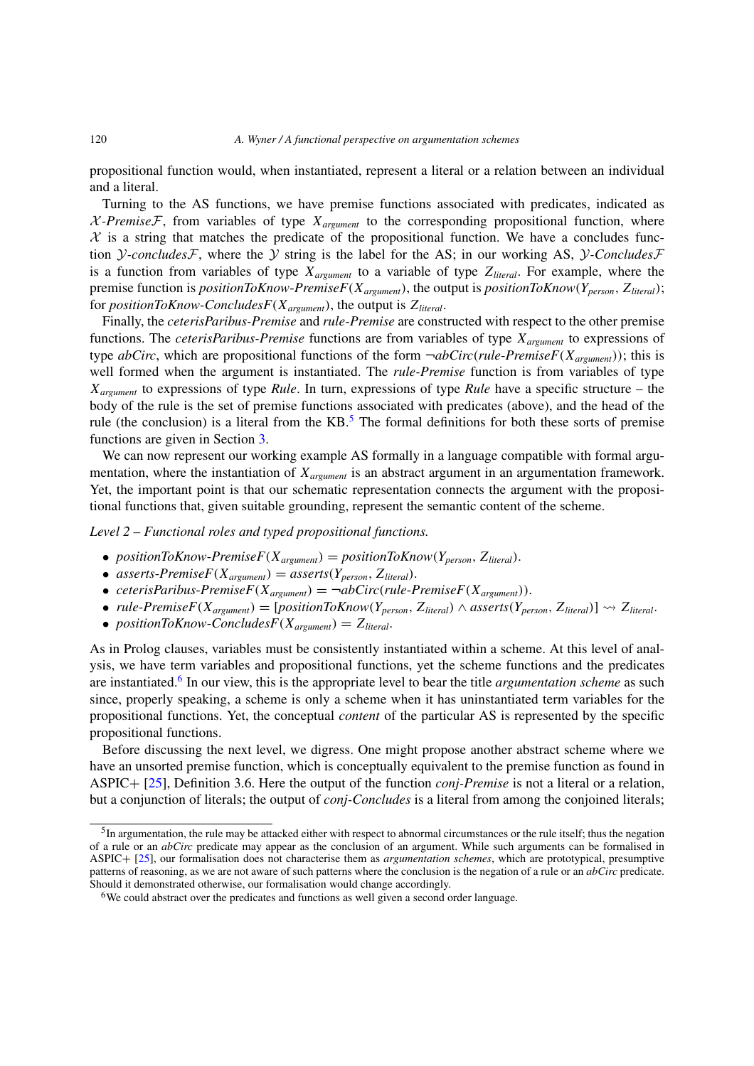propositional function would, when instantiated, represent a literal or a relation between an individual and a literal.

Turning to the AS functions, we have premise functions associated with predicates, indicated as  $X$ -Premise<sub>F</sub>, from variables of type  $X_{argument}$  to the corresponding propositional function, where  $X$  is a string that matches the predicate of the propositional function. We have a concludes function Y*-concludes*F, where the Y string is the label for the AS; in our working AS, Y*-Concludes*F is a function from variables of type *Xargument* to a variable of type *Zliteral*. For example, where the premise function is *positionToKnow*-*PremiseF(Xargument)*, the output is *positionToKnow(Yperson, Zliteral)*; for *positionToKnow-ConcludesF* $(X_{argument})$ , the output is  $Z_{literal}$ .

Finally, the *ceterisParibus-Premise* and *rule-Premise* are constructed with respect to the other premise functions. The *ceterisParibus-Premise* functions are from variables of type *Xargument* to expressions of type *abCirc*, which are propositional functions of the form  $\neg abCirc(\text{rule-}PremiseF(X_{argument}))$ ; this is well formed when the argument is instantiated. The *rule-Premise* function is from variables of type *Xargument* to expressions of type *Rule*. In turn, expressions of type *Rule* have a specific structure – the body of the rule is the set of premise functions associated with predicates (above), and the head of the rule (the conclusion) is a literal from the  $KB<sup>5</sup>$  $KB<sup>5</sup>$  $KB<sup>5</sup>$ . The formal definitions for both these sorts of premise functions are given in Section [3.](#page-9-0)

We can now represent our working example AS formally in a language compatible with formal argumentation, where the instantiation of *Xargument* is an abstract argument in an argumentation framework. Yet, the important point is that our schematic representation connects the argument with the propositional functions that, given suitable grounding, represent the semantic content of the scheme.

*Level 2 – Functional roles and typed propositional functions.*

- *positionToKnow-PremiseF*( $X_{argument}$ ) = *positionToKnow*( $Y_{person}$ ,  $Z_{literal}$ ).
- *asserts-PremiseF*( $X_{argument}$ ) = *asserts*( $Y_{person}$ ,  $Z_{literal}$ ).
- *ceterisParibus-PremiseF* $(X_{argument}) = \neg abCirc (rule-PremiseF(X_{argument}))$ .
- rule-Premise $F(X_{argument}) = [positionToKnow(Y_{person}, Z_{literal}) \wedge asserts(Y_{person}, Z_{literal})] \rightarrow Z_{literal}.$
- *positionToKnow-ConcludesF* $(X_{argument}) = Z_{literal}$ .

As in Prolog clauses, variables must be consistently instantiated within a scheme. At this level of analysis, we have term variables and propositional functions, yet the scheme functions and the predicates are instantiated[.6](#page-7-1) In our view, this is the appropriate level to bear the title *argumentation scheme* as such since, properly speaking, a scheme is only a scheme when it has uninstantiated term variables for the propositional functions. Yet, the conceptual *content* of the particular AS is represented by the specific propositional functions.

Before discussing the next level, we digress. One might propose another abstract scheme where we have an unsorted premise function, which is conceptually equivalent to the premise function as found in ASPIC+ [\[25](#page-19-4)], Definition 3.6. Here the output of the function *conj-Premise* is not a literal or a relation, but a conjunction of literals; the output of *conj-Concludes* is a literal from among the conjoined literals;

<span id="page-7-0"></span> $5$ In argumentation, the rule may be attacked either with respect to abnormal circumstances or the rule itself; thus the negation of a rule or an *abCirc* predicate may appear as the conclusion of an argument. While such arguments can be formalised in ASPIC+ [\[25](#page-19-4)], our formalisation does not characterise them as *argumentation schemes*, which are prototypical, presumptive patterns of reasoning, as we are not aware of such patterns where the conclusion is the negation of a rule or an *abCirc* predicate. Should it demonstrated otherwise, our formalisation would change accordingly.

<span id="page-7-1"></span><sup>6</sup>We could abstract over the predicates and functions as well given a second order language.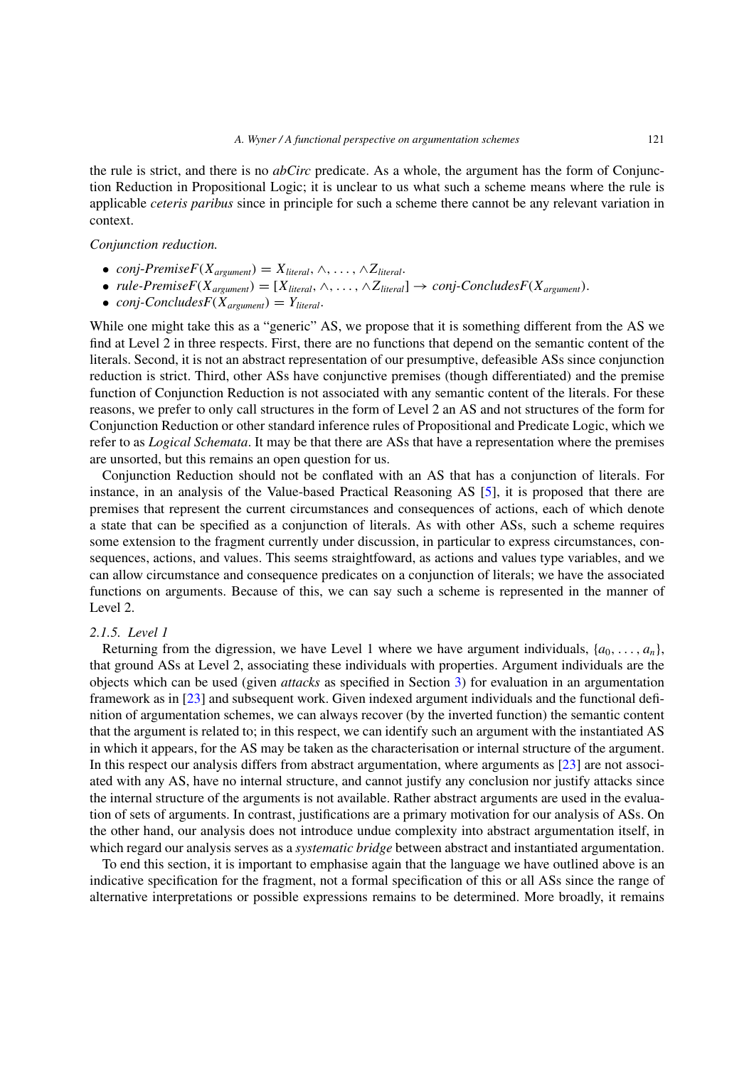the rule is strict, and there is no *abCirc* predicate. As a whole, the argument has the form of Conjunction Reduction in Propositional Logic; it is unclear to us what such a scheme means where the rule is applicable *ceteris paribus* since in principle for such a scheme there cannot be any relevant variation in context.

### *Conjunction reduction.*

- *conj*-*PremiseF*( $X_{argument}$ ) =  $X_{literal}$ , ∧, ..., ∧ $Z_{literal}$ .
- *rule-PremiseF*( $X_{argument}$ ) = [ $X_{literal}$ ,  $\wedge$ , ...,  $\wedge Z_{literal}$ ]  $\rightarrow conj-ConcludesF(X_{argument})$ .
- *conj*-*ConcludesF*( $X_{argument}$ ) =  $Y_{literal}$ .

While one might take this as a "generic" AS, we propose that it is something different from the AS we find at Level 2 in three respects. First, there are no functions that depend on the semantic content of the literals. Second, it is not an abstract representation of our presumptive, defeasible ASs since conjunction reduction is strict. Third, other ASs have conjunctive premises (though differentiated) and the premise function of Conjunction Reduction is not associated with any semantic content of the literals. For these reasons, we prefer to only call structures in the form of Level 2 an AS and not structures of the form for Conjunction Reduction or other standard inference rules of Propositional and Predicate Logic, which we refer to as *Logical Schemata*. It may be that there are ASs that have a representation where the premises are unsorted, but this remains an open question for us.

Conjunction Reduction should not be conflated with an AS that has a conjunction of literals. For instance, in an analysis of the Value-based Practical Reasoning AS [\[5](#page-18-1)], it is proposed that there are premises that represent the current circumstances and consequences of actions, each of which denote a state that can be specified as a conjunction of literals. As with other ASs, such a scheme requires some extension to the fragment currently under discussion, in particular to express circumstances, consequences, actions, and values. This seems straightfoward, as actions and values type variables, and we can allow circumstance and consequence predicates on a conjunction of literals; we have the associated functions on arguments. Because of this, we can say such a scheme is represented in the manner of Level 2.

# *2.1.5. Level 1*

Returning from the digression, we have Level 1 where we have argument individuals,  $\{a_0, \ldots, a_n\}$ , that ground ASs at Level 2, associating these individuals with properties. Argument individuals are the objects which can be used (given *attacks* as specified in Section [3\)](#page-9-0) for evaluation in an argumentation framework as in [\[23\]](#page-19-5) and subsequent work. Given indexed argument individuals and the functional definition of argumentation schemes, we can always recover (by the inverted function) the semantic content that the argument is related to; in this respect, we can identify such an argument with the instantiated AS in which it appears, for the AS may be taken as the characterisation or internal structure of the argument. In this respect our analysis differs from abstract argumentation, where arguments as [\[23\]](#page-19-5) are not associ-ated with any AS, have no internal structure, and cannot justify any conclusion nor justify attacks since the internal structure of the arguments is not available. Rather abstract arguments are used in the evaluation of sets of arguments. In contrast, justifications are a primary motivation for our analysis of ASs. On the other hand, our analysis does not introduce undue complexity into abstract argumentation itself, in which regard our analysis serves as a *systematic bridge* between abstract and instantiated argumentation.

To end this section, it is important to emphasise again that the language we have outlined above is an indicative specification for the fragment, not a formal specification of this or all ASs since the range of alternative interpretations or possible expressions remains to be determined. More broadly, it remains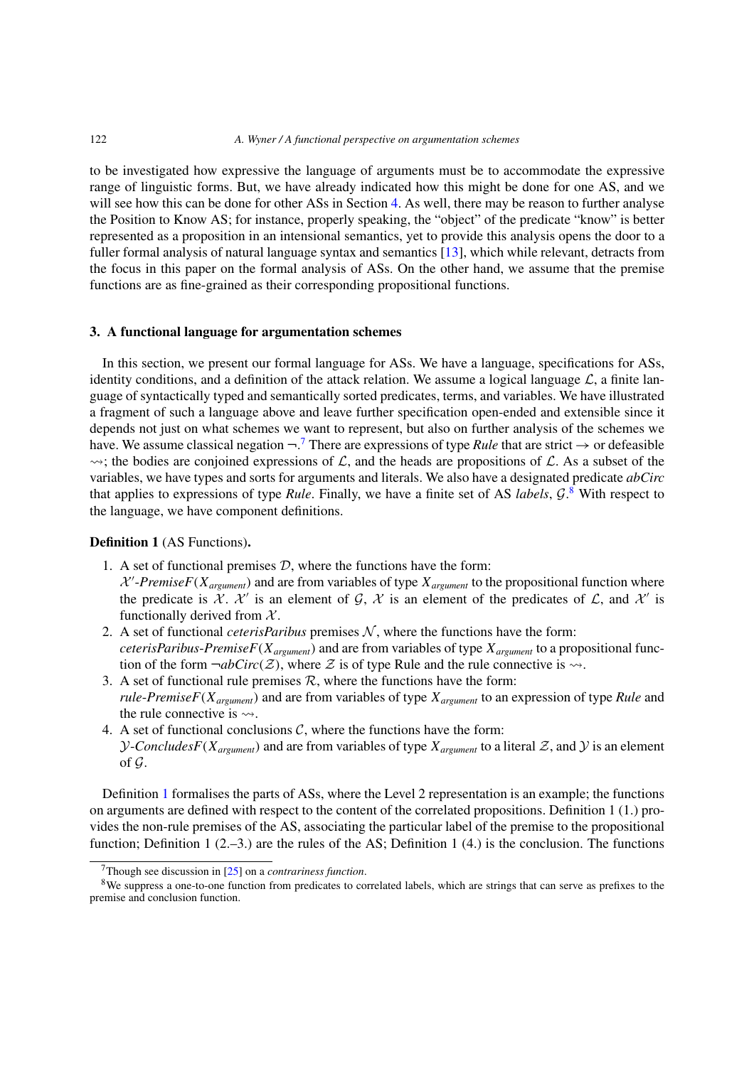to be investigated how expressive the language of arguments must be to accommodate the expressive range of linguistic forms. But, we have already indicated how this might be done for one AS, and we will see how this can be done for other ASs in Section [4.](#page-11-0) As well, there may be reason to further analyse the Position to Know AS; for instance, properly speaking, the "object" of the predicate "know" is better represented as a proposition in an intensional semantics, yet to provide this analysis opens the door to a fuller formal analysis of natural language syntax and semantics [\[13](#page-19-17)], which while relevant, detracts from the focus in this paper on the formal analysis of ASs. On the other hand, we assume that the premise functions are as fine-grained as their corresponding propositional functions.

## <span id="page-9-0"></span>**3. A functional language for argumentation schemes**

In this section, we present our formal language for ASs. We have a language, specifications for ASs, identity conditions, and a definition of the attack relation. We assume a logical language  $\mathcal{L}$ , a finite language of syntactically typed and semantically sorted predicates, terms, and variables. We have illustrated a fragment of such a language above and leave further specification open-ended and extensible since it depends not just on what schemes we want to represent, but also on further analysis of the schemes we have. We assume classical negation  $\neg$ .<sup>[7](#page-9-1)</sup> There are expressions of type *Rule* that are strict  $\rightarrow$  or defeasible  $\rightsquigarrow$ ; the bodies are conjoined expressions of  $\mathcal{L}$ , and the heads are propositions of  $\mathcal{L}$ . As a subset of the variables, we have types and sorts for arguments and literals. We also have a designated predicate *abCirc* that applies to expressions of type *Rule*. Finally, we have a finite set of AS *labels*, G. [8](#page-9-2) With respect to the language, we have component definitions.

## <span id="page-9-3"></span>**Definition 1** (AS Functions)**.**

- 1. A set of functional premises  $D$ , where the functions have the form:  $X'$ -Premise $F(X_{argument})$  and are from variables of type  $X_{argument}$  to the propositional function where the predicate is  $\mathcal{X}$ .  $\mathcal{X}'$  is an element of  $\mathcal{G}, \mathcal{X}$  is an element of the predicates of  $\mathcal{L}$ , and  $\mathcal{X}'$  is functionally derived from  $X$ .
- 2. A set of functional *ceterisParibus* premises  $N$ , where the functions have the form: *ceterisParibus-PremiseF* $(X_{argument})$  and are from variables of type  $X_{argument}$  to a propositional function of the form  $\neg abCirc(\mathcal{Z})$ , where  $\mathcal Z$  is of type Rule and the rule connective is  $\rightsquigarrow$ .
- 3. A set of functional rule premises  $R$ , where the functions have the form: *rule*-*PremiseF(Xargument)* and are from variables of type *Xargument* to an expression of type *Rule* and the rule connective is  $\rightsquigarrow$ .
- 4. A set of functional conclusions  $C$ , where the functions have the form:  $\mathcal{Y}$ -*ConcludesF*( $X_{argument}$ ) and are from variables of type  $X_{argument}$  to a literal  $\mathcal{Z}$ , and  $\mathcal{Y}$  is an element of  $\mathcal G$ .

Definition [1](#page-9-3) formalises the parts of ASs, where the Level 2 representation is an example; the functions on arguments are defined with respect to the content of the correlated propositions. Definition 1 (1.) provides the non-rule premises of the AS, associating the particular label of the premise to the propositional function; Definition 1 (2.–3.) are the rules of the AS; Definition 1 (4.) is the conclusion. The functions

<span id="page-9-2"></span><span id="page-9-1"></span><sup>7</sup>Though see discussion in [\[25](#page-19-4)] on a *contrariness function*.

<sup>&</sup>lt;sup>8</sup>We suppress a one-to-one function from predicates to correlated labels, which are strings that can serve as prefixes to the premise and conclusion function.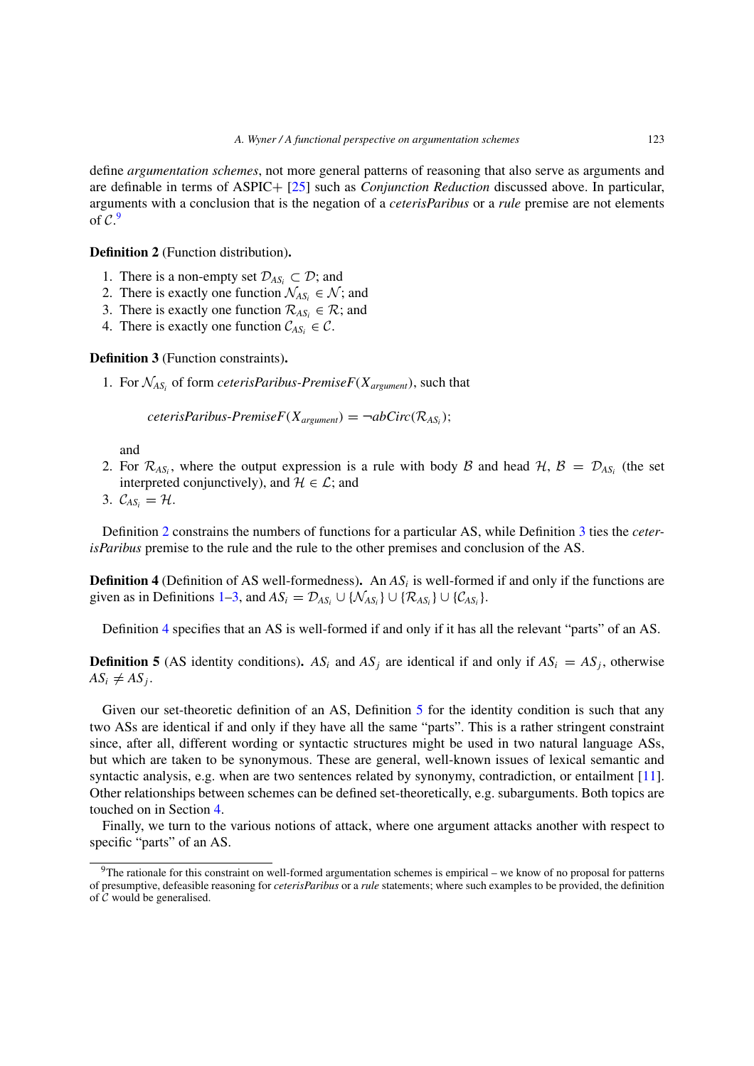define *argumentation schemes*, not more general patterns of reasoning that also serve as arguments and are definable in terms of ASPIC+ [\[25](#page-19-4)] such as *Conjunction Reduction* discussed above. In particular, arguments with a conclusion that is the negation of a *ceterisParibus* or a *rule* premise are not elements of  $\mathcal{C}^9$  $\mathcal{C}^9$ 

<span id="page-10-1"></span>**Definition 2** (Function distribution)**.**

- 1. There is a non-empty set  $\mathcal{D}_{AS_i} \subset \mathcal{D}$ ; and
- 2. There is exactly one function  $\mathcal{N}_{AS_i} \in \mathcal{N}$ ; and
- 3. There is exactly one function  $\mathcal{R}_{AS_i} \in \mathcal{R}$ ; and
- 4. There is exactly one function  $C_{AS_i} \in \mathcal{C}$ .

<span id="page-10-2"></span>**Definition 3** (Function constraints)**.**

1. For  $\mathcal{N}_{AS_i}$  of form *ceterisParibus-PremiseF*( $X_{argument}$ ), such that

 $ceterisParibus-PremiseF(X<sub>argument</sub>)$  =  $\neg abCirc(R<sub>AS<sub>i</sub></sub>)$ ;

and

- 2. For  $\mathcal{R}_{AS}$ , where the output expression is a rule with body B and head H,  $\mathcal{B} = \mathcal{D}_{AS}$  (the set interpreted conjunctively), and  $\mathcal{H} \in \mathcal{L}$ ; and
- 3.  $\mathcal{C}_{AS_i} = \mathcal{H}.$

Definition [2](#page-10-1) constrains the numbers of functions for a particular AS, while Definition [3](#page-10-2) ties the *ceterisParibus* premise to the rule and the rule to the other premises and conclusion of the AS.

<span id="page-10-3"></span>**Definition 4** (Definition of AS well-formedness)**.** An *AS<sup>i</sup>* is well-formed if and only if the functions are given as in Definitions [1–](#page-9-3)[3,](#page-10-2) and  $AS_i = \mathcal{D}_{AS_i} \cup \{N_{AS_i}\} \cup \{R_{AS_i}\} \cup \{C_{AS_i}\}.$ 

Definition [4](#page-10-3) specifies that an AS is well-formed if and only if it has all the relevant "parts" of an AS.

<span id="page-10-4"></span>**Definition 5** (AS identity conditions).  $AS_i$  and  $AS_j$  are identical if and only if  $AS_i = AS_j$ , otherwise  $AS_i \neq AS_j$ .

Given our set-theoretic definition of an AS, Definition [5](#page-10-4) for the identity condition is such that any two ASs are identical if and only if they have all the same "parts". This is a rather stringent constraint since, after all, different wording or syntactic structures might be used in two natural language ASs, but which are taken to be synonymous. These are general, well-known issues of lexical semantic and syntactic analysis, e.g. when are two sentences related by synonymy, contradiction, or entailment [\[11](#page-19-18)]. Other relationships between schemes can be defined set-theoretically, e.g. subarguments. Both topics are touched on in Section [4.](#page-11-0)

Finally, we turn to the various notions of attack, where one argument attacks another with respect to specific "parts" of an AS.

<span id="page-10-0"></span> $9$ The rationale for this constraint on well-formed argumentation schemes is empirical – we know of no proposal for patterns of presumptive, defeasible reasoning for *ceterisParibus* or a *rule* statements; where such examples to be provided, the definition of  $C$  would be generalised.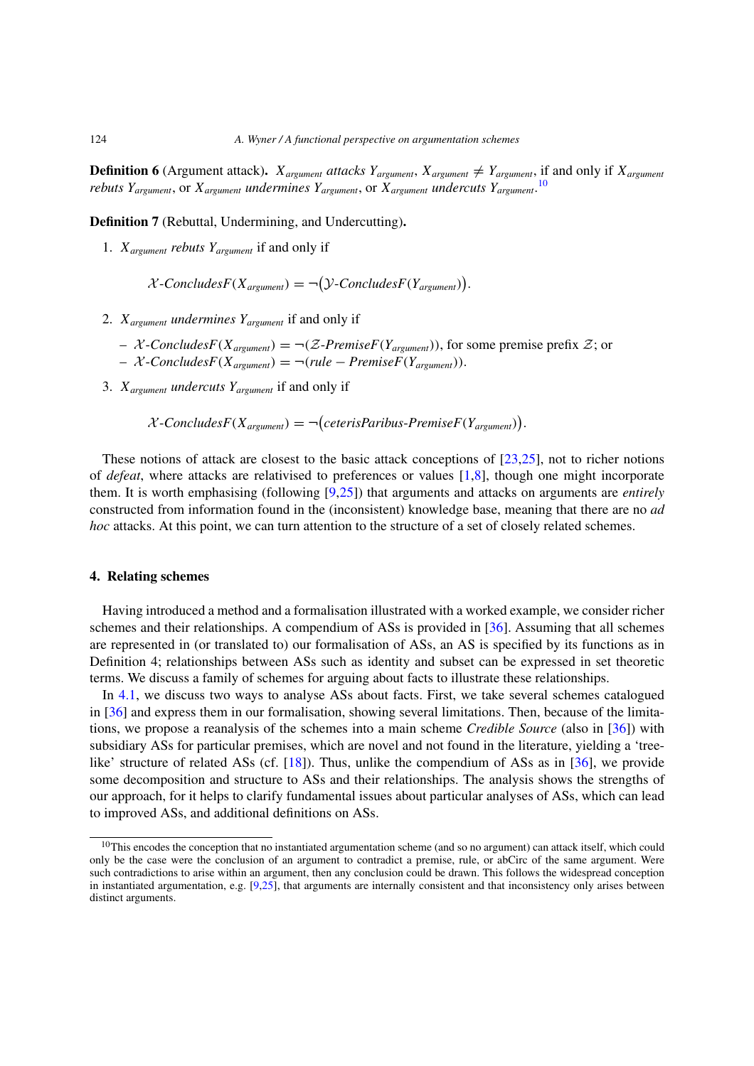**Definition 6** (Argument attack).  $X_{argument}$  attacks  $Y_{argument}$ ,  $X_{argument} \neq Y_{argument}$ , if and only if  $X_{argument}$ *rebuts Yargument*, or *Xargument undermines Yargument*, or *Xargument undercuts Yargument*. [10](#page-11-1)

**Definition 7** (Rebuttal, Undermining, and Undercutting)**.**

1. *Xargument rebuts Yargument* if and only if

 $\mathcal{X}\text{-}ConcludesF(X_{argument}) = \neg(\mathcal{Y}\text{-}ConcludesF(Y_{argument})).$ 

- 2. *Xargument undermines Yargument* if and only if
	- $-\chi$ -*ConcludesF*( $X_{argument}$ ) =  $\neg$ ( $\mathcal{Z}$ -*PremiseF*( $Y_{argument}$ )), for some premise prefix  $\mathcal{Z}$ ; or – X -*ConcludesF(Xargument)* = ¬*(rule* − *PremiseF(Yargument))*.
- 3. *Xargument undercuts Yargument* if and only if

 $\mathcal{X}\text{-}ConcludesF(X_{argument}) = \neg (ceterisParibus-PremiseF(Y_{argument})).$ 

These notions of attack are closest to the basic attack conceptions of [\[23](#page-19-5)[,25\]](#page-19-4), not to richer notions of *defeat*, where attacks are relativised to preferences or values [\[1](#page-18-5)[,8\]](#page-19-19), though one might incorporate them. It is worth emphasising (following [\[9](#page-19-2)[,25](#page-19-4)]) that arguments and attacks on arguments are *entirely* constructed from information found in the (inconsistent) knowledge base, meaning that there are no *ad hoc* attacks. At this point, we can turn attention to the structure of a set of closely related schemes.

# <span id="page-11-0"></span>**4. Relating schemes**

Having introduced a method and a formalisation illustrated with a worked example, we consider richer schemes and their relationships. A compendium of ASs is provided in [\[36](#page-20-0)]. Assuming that all schemes are represented in (or translated to) our formalisation of ASs, an AS is specified by its functions as in Definition 4; relationships between ASs such as identity and subset can be expressed in set theoretic terms. We discuss a family of schemes for arguing about facts to illustrate these relationships.

In [4.1,](#page-12-0) we discuss two ways to analyse ASs about facts. First, we take several schemes catalogued in [\[36\]](#page-20-0) and express them in our formalisation, showing several limitations. Then, because of the limitations, we propose a reanalysis of the schemes into a main scheme *Credible Source* (also in [\[36](#page-20-0)]) with subsidiary ASs for particular premises, which are novel and not found in the literature, yielding a 'treelike' structure of related ASs (cf. [\[18](#page-19-20)]). Thus, unlike the compendium of ASs as in [\[36](#page-20-0)], we provide some decomposition and structure to ASs and their relationships. The analysis shows the strengths of our approach, for it helps to clarify fundamental issues about particular analyses of ASs, which can lead to improved ASs, and additional definitions on ASs.

<span id="page-11-1"></span> $10$ This encodes the conception that no instantiated argumentation scheme (and so no argument) can attack itself, which could only be the case were the conclusion of an argument to contradict a premise, rule, or abCirc of the same argument. Were such contradictions to arise within an argument, then any conclusion could be drawn. This follows the widespread conception in instantiated argumentation, e.g. [\[9](#page-19-2)[,25\]](#page-19-4), that arguments are internally consistent and that inconsistency only arises between distinct arguments.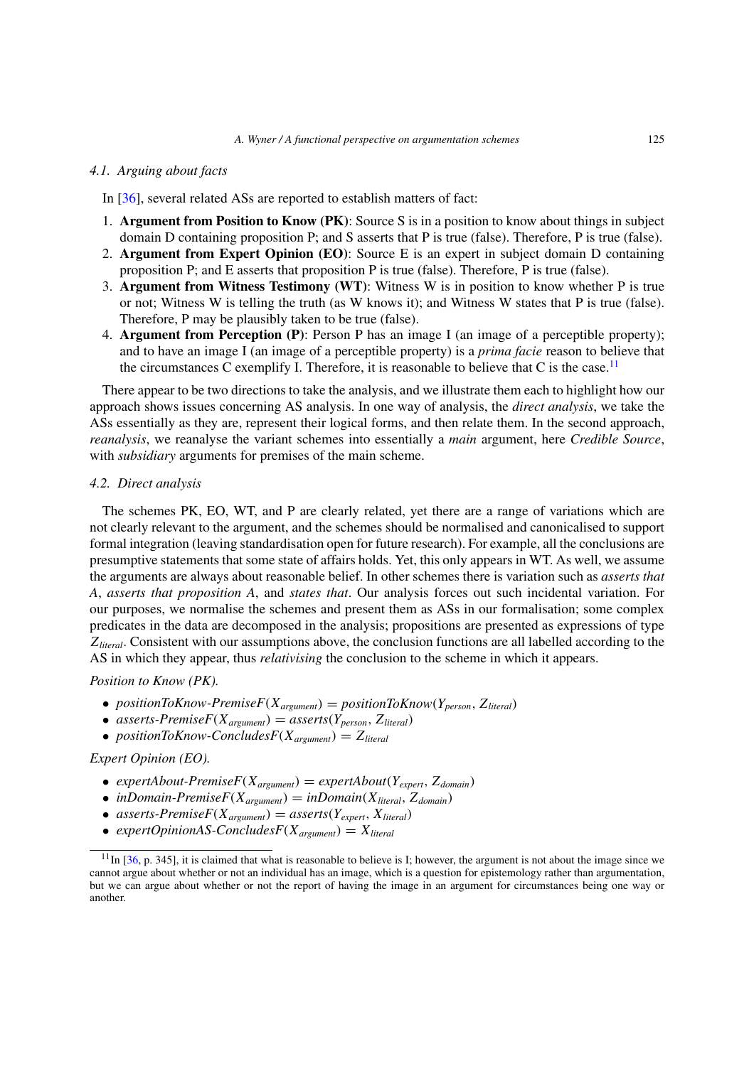#### <span id="page-12-0"></span>*4.1. Arguing about facts*

In [\[36](#page-20-0)], several related ASs are reported to establish matters of fact:

- 1. **Argument from Position to Know (PK)**: Source S is in a position to know about things in subject domain D containing proposition P; and S asserts that P is true (false). Therefore, P is true (false).
- 2. **Argument from Expert Opinion (EO)**: Source E is an expert in subject domain D containing proposition P; and E asserts that proposition P is true (false). Therefore, P is true (false).
- 3. **Argument from Witness Testimony (WT)**: Witness W is in position to know whether P is true or not; Witness W is telling the truth (as W knows it); and Witness W states that P is true (false). Therefore, P may be plausibly taken to be true (false).
- 4. **Argument from Perception (P)**: Person P has an image I (an image of a perceptible property); and to have an image I (an image of a perceptible property) is a *prima facie* reason to believe that the circumstances C exemplify I. Therefore, it is reasonable to believe that C is the case.<sup>11</sup>

There appear to be two directions to take the analysis, and we illustrate them each to highlight how our approach shows issues concerning AS analysis. In one way of analysis, the *direct analysis*, we take the ASs essentially as they are, represent their logical forms, and then relate them. In the second approach, *reanalysis*, we reanalyse the variant schemes into essentially a *main* argument, here *Credible Source*, with *subsidiary* arguments for premises of the main scheme.

## <span id="page-12-2"></span>*4.2. Direct analysis*

The schemes PK, EO, WT, and P are clearly related, yet there are a range of variations which are not clearly relevant to the argument, and the schemes should be normalised and canonicalised to support formal integration (leaving standardisation open for future research). For example, all the conclusions are presumptive statements that some state of affairs holds. Yet, this only appears in WT. As well, we assume the arguments are always about reasonable belief. In other schemes there is variation such as *asserts that A*, *asserts that proposition A*, and *states that*. Our analysis forces out such incidental variation. For our purposes, we normalise the schemes and present them as ASs in our formalisation; some complex predicates in the data are decomposed in the analysis; propositions are presented as expressions of type *Zliteral*. Consistent with our assumptions above, the conclusion functions are all labelled according to the AS in which they appear, thus *relativising* the conclusion to the scheme in which it appears.

#### *Position to Know (PK).*

- *positionToKnow-PremiseF*( $X_{argument}$ ) = *positionToKnow*( $Y_{person}$ ,  $Z_{literal}$ )
- *asserts-PremiseF* $(X_{argument})$  = *asserts* $(Y_{person}, Z_{literal})$
- *positionToKnow-ConcludesF(Xargument)* = *Zliteral*

# *Expert Opinion (EO).*

- *expertAbout-PremiseF*( $X_{argument}$ ) = *expertAbout*( $Y_{expert}$ ,  $Z_{domain}$ )
- *inDomain-PremiseF*( $X_{argument}$ ) = *inDomain*( $X_{literal}$ ,  $Z_{domain}$ )
- *asserts-PremiseF*( $X_{argument}$ ) = *asserts*( $Y_{expert}$ ,  $X_{literal}$ )
- *expertOpinionAS-ConcludesF* $(X_{argument}) = X_{literal}$

<span id="page-12-1"></span> $11$ In [\[36](#page-20-0), p. 345], it is claimed that what is reasonable to believe is I; however, the argument is not about the image since we cannot argue about whether or not an individual has an image, which is a question for epistemology rather than argumentation, but we can argue about whether or not the report of having the image in an argument for circumstances being one way or another.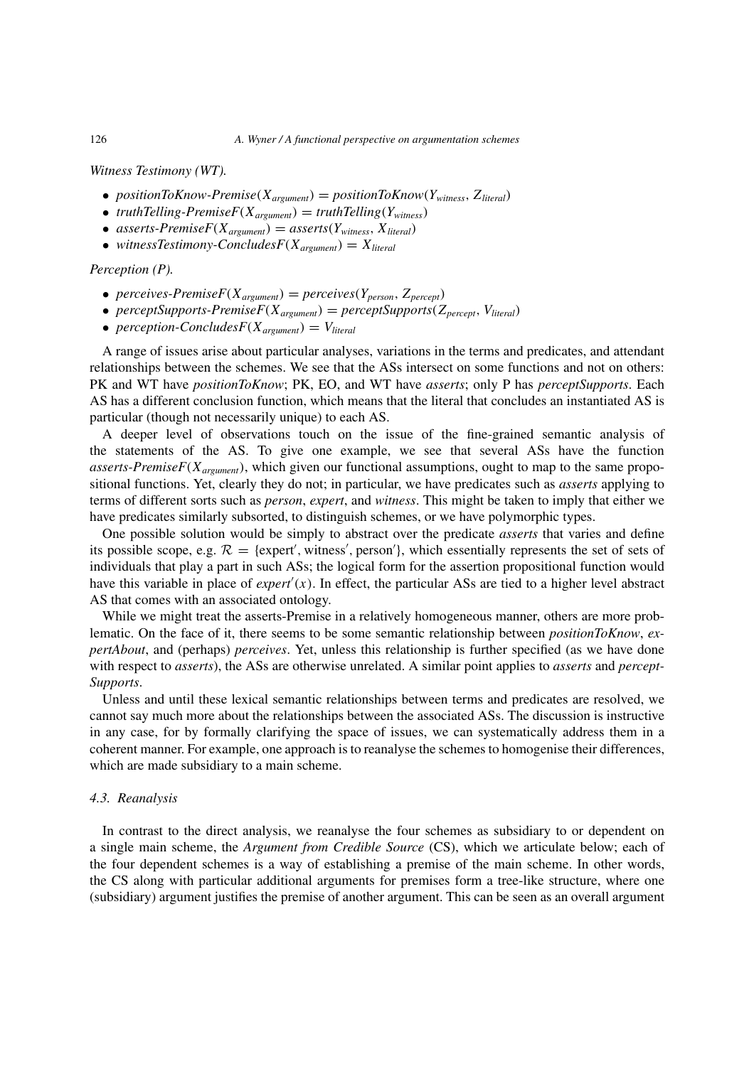*Witness Testimony (WT).*

- *positionToKnow-Premise* $(X_{argument}) = positionToKnow(Y_{witness}, Z_{literal})$
- *truthTelling-PremiseF*( $X_{argument}$ ) = *truthTelling*( $Y_{witness}$ )
- *asserts-PremiseF*( $X_{argument}$ ) = *asserts*( $Y_{witness}$ *, X*<sub>literal</sub>)
- *witnessTestimony-ConcludesF* $(X_{argument}) = X_{literal}$

# *Perception (P).*

- *perceives-PremiseF*( $X_{argument}$ ) = *perceives*( $Y_{person}$ ,  $Z_{percent}$ )
- *perceptSupports-PremiseF*( $X_{argument}$ ) = *perceptSupports*( $Z_{percent}$ ,  $V_{literal}$ )
- *perception-ConcludesF* $(X_{argument}) = V_{literal}$

A range of issues arise about particular analyses, variations in the terms and predicates, and attendant relationships between the schemes. We see that the ASs intersect on some functions and not on others: PK and WT have *positionToKnow*; PK, EO, and WT have *asserts*; only P has *perceptSupports*. Each AS has a different conclusion function, which means that the literal that concludes an instantiated AS is particular (though not necessarily unique) to each AS.

A deeper level of observations touch on the issue of the fine-grained semantic analysis of the statements of the AS. To give one example, we see that several ASs have the function *asserts-PremiseF(Xargument)*, which given our functional assumptions, ought to map to the same propositional functions. Yet, clearly they do not; in particular, we have predicates such as *asserts* applying to terms of different sorts such as *person*, *expert*, and *witness*. This might be taken to imply that either we have predicates similarly subsorted, to distinguish schemes, or we have polymorphic types.

One possible solution would be simply to abstract over the predicate *asserts* that varies and define its possible scope, e.g.  $\mathcal{R} = \{ \text{expert}', \text{witness}', \text{person}' \}$ , which essentially represents the set of sets of individuals that play a part in such ASs; the logical form for the assertion propositional function would have this variable in place of *expert (x)*. In effect, the particular ASs are tied to a higher level abstract AS that comes with an associated ontology.

While we might treat the asserts-Premise in a relatively homogeneous manner, others are more problematic. On the face of it, there seems to be some semantic relationship between *positionToKnow*, *expertAbout*, and (perhaps) *perceives*. Yet, unless this relationship is further specified (as we have done with respect to *asserts*), the ASs are otherwise unrelated. A similar point applies to *asserts* and *percept-Supports*.

Unless and until these lexical semantic relationships between terms and predicates are resolved, we cannot say much more about the relationships between the associated ASs. The discussion is instructive in any case, for by formally clarifying the space of issues, we can systematically address them in a coherent manner. For example, one approach is to reanalyse the schemes to homogenise their differences, which are made subsidiary to a main scheme.

## <span id="page-13-0"></span>*4.3. Reanalysis*

In contrast to the direct analysis, we reanalyse the four schemes as subsidiary to or dependent on a single main scheme, the *Argument from Credible Source* (CS), which we articulate below; each of the four dependent schemes is a way of establishing a premise of the main scheme. In other words, the CS along with particular additional arguments for premises form a tree-like structure, where one (subsidiary) argument justifies the premise of another argument. This can be seen as an overall argument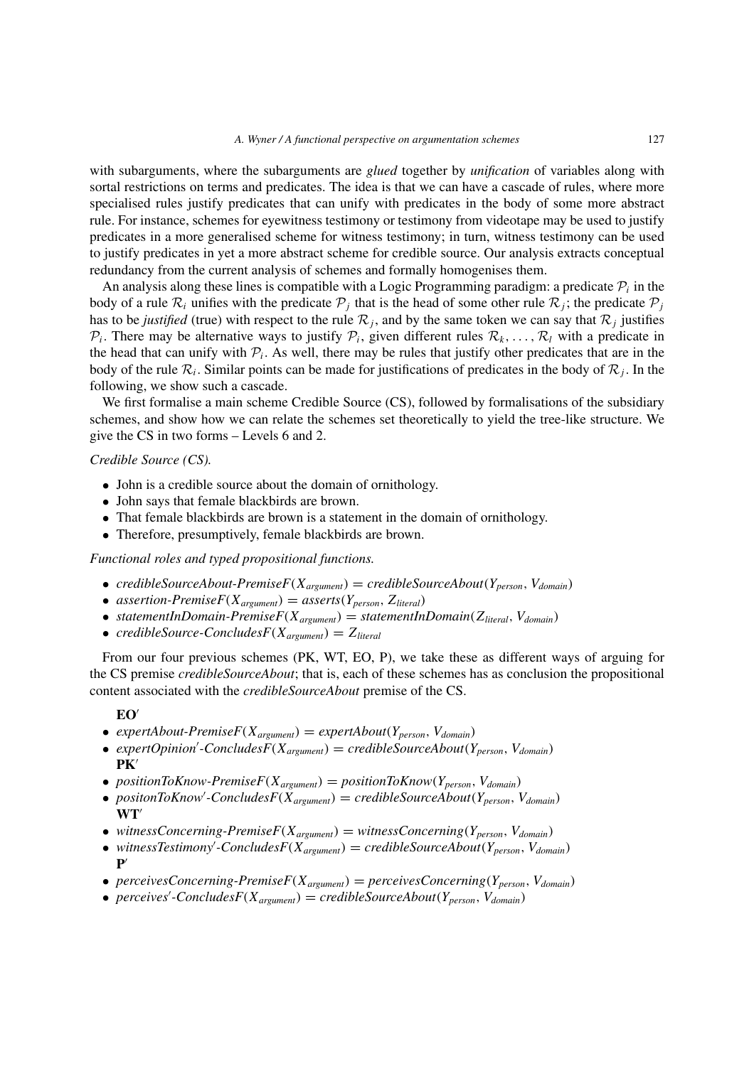with subarguments, where the subarguments are *glued* together by *unification* of variables along with sortal restrictions on terms and predicates. The idea is that we can have a cascade of rules, where more specialised rules justify predicates that can unify with predicates in the body of some more abstract rule. For instance, schemes for eyewitness testimony or testimony from videotape may be used to justify predicates in a more generalised scheme for witness testimony; in turn, witness testimony can be used to justify predicates in yet a more abstract scheme for credible source. Our analysis extracts conceptual redundancy from the current analysis of schemes and formally homogenises them.

An analysis along these lines is compatible with a Logic Programming paradigm: a predicate  $P_i$  in the body of a rule  $\mathcal{R}_i$  unifies with the predicate  $\mathcal{P}_i$  that is the head of some other rule  $\mathcal{R}_i$ ; the predicate  $\mathcal{P}_i$ has to be *justified* (true) with respect to the rule  $\mathcal{R}_j$ , and by the same token we can say that  $\mathcal{R}_j$  justifies  $P_i$ . There may be alternative ways to justify  $P_i$ , given different rules  $\mathcal{R}_k, \ldots, \mathcal{R}_l$  with a predicate in the head that can unify with  $P_i$ . As well, there may be rules that justify other predicates that are in the body of the rule  $\mathcal{R}_i$ . Similar points can be made for justifications of predicates in the body of  $\mathcal{R}_i$ . In the following, we show such a cascade.

We first formalise a main scheme Credible Source (CS), followed by formalisations of the subsidiary schemes, and show how we can relate the schemes set theoretically to yield the tree-like structure. We give the CS in two forms – Levels 6 and 2.

## *Credible Source (CS).*

- John is a credible source about the domain of ornithology.
- John says that female blackbirds are brown.
- That female blackbirds are brown is a statement in the domain of ornithology.
- Therefore, presumptively, female blackbirds are brown.

*Functional roles and typed propositional functions.*

- *credibleSourceAbout-PremiseF*( $X_{argument}$ ) = *credibleSourceAbout*( $Y_{person}$ *,*  $V_{domain}$ *)*
- *assertion-PremiseF*( $X_{argument}$ ) = *asserts*( $Y_{person}$ ,  $Z_{literal}$ )
- *statementInDomain-PremiseF* $(X_{\text{argument}})$  = *statementInDomain* $(Z_{\text{literal}}, V_{\text{domain}})$
- *credibleSource-ConcludesF* $(X_{argument}) = Z_{literal}$

From our four previous schemes (PK, WT, EO, P), we take these as different ways of arguing for the CS premise *credibleSourceAbout*; that is, each of these schemes has as conclusion the propositional content associated with the *credibleSourceAbout* premise of the CS.

#### **EO**

- *expertAbout-PremiseF*( $X_{argument}$ ) = *expertAbout*( $Y_{person}$ *,*  $V_{domain}$ *)*
- *expertOpinion -ConcludesF(Xargument)* = *credibleSourceAbout(Yperson, Vdomain)* **PK**
- *positionToKnow-PremiseF*( $X_{argument}$ ) = *positionToKnow*( $Y_{person}$ ,  $V_{domain}$ )
- *positonToKnow'*-Concludes $F(\tilde{X}_{argument}) = c$ redibleSourceAbout $(Y_{person}, V_{domain})$ **WT**
- *witnessConcerning-PremiseF* $(X_{\text{argument}}) = \text{witnessConcerning}(Y_{\text{person}}, V_{\text{domain}})$
- $\bullet$  *witnessTestimony'*-Concludes $F(X_{argument}) = c$ redibleSourceAbout $(Y_{person}, V_{domain})$ **P**
- *perceivesConcerning-PremiseF* $(X_{argument})$  = *perceivesConcerning* $(Y_{person}, V_{domain})$
- *perceives'*-Concludes $F(X_{argument}) = c$ redibleSourceAbout $(Y_{person}, V_{domain})$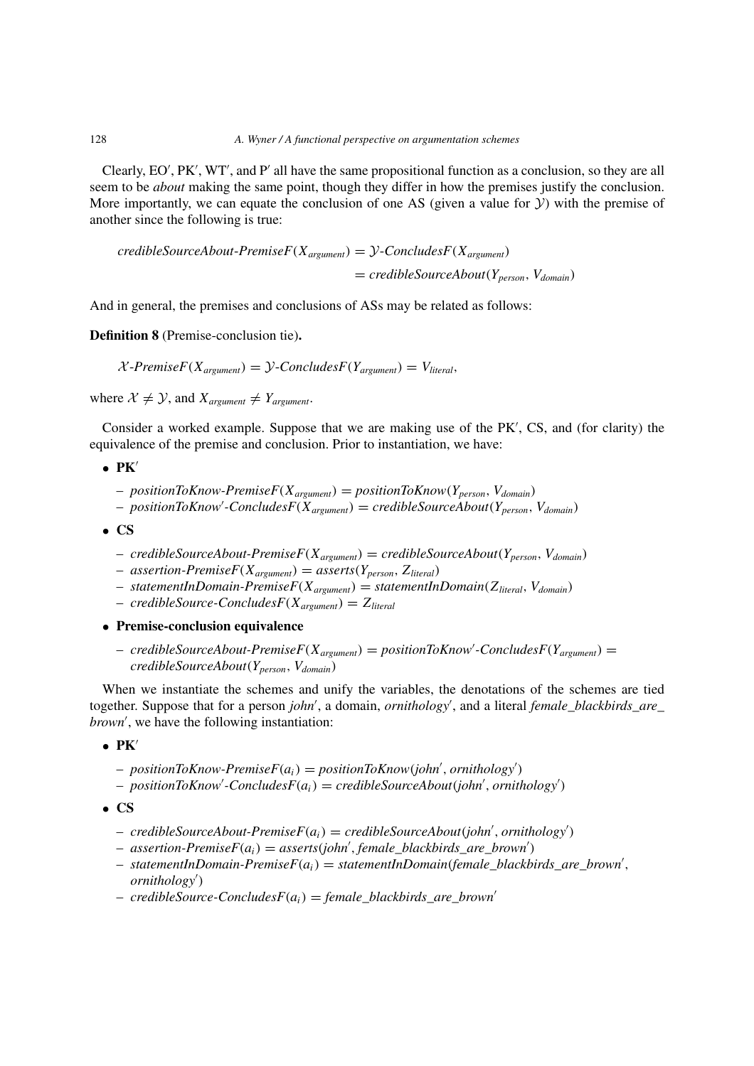Clearly, EO', PK', WT', and P' all have the same propositional function as a conclusion, so they are all seem to be *about* making the same point, though they differ in how the premises justify the conclusion. More importantly, we can equate the conclusion of one AS (given a value for  $\mathcal Y$ ) with the premise of another since the following is true:

$$
credibleSourceAbout-PremiseF(X_{argument}) = \mathcal{Y}\text{-}ConcludesF(X_{argument})
$$

$$
= credibleSourceAbout(Y_{person}, V_{domain})
$$

And in general, the premises and conclusions of ASs may be related as follows:

**Definition 8** (Premise-conclusion tie)**.**

 $\mathcal{X}\text{-}$  **Premise**  $F(X_{\text{argument}}) = \mathcal{Y}\text{-}$  *Concludes*  $F(Y_{\text{argument}}) = V_{\text{literal}}$ *,* 

where  $X \neq Y$ , and  $X$ <sub>argument</sub>  $\neq Y$ <sub>argument</sub>.

Consider a worked example. Suppose that we are making use of the PK , CS, and (for clarity) the equivalence of the premise and conclusion. Prior to instantiation, we have:

 $\bullet$  **PK**<sup> $\prime$ </sup>

- *positionToKnow-PremiseF(Xargument)* = *positionToKnow(Yperson, Vdomain)*
- *positionToKnow -ConcludesF(Xargument)* = *credibleSourceAbout(Yperson, Vdomain)*
- **CS**
	- *credibleSourceAbout-PremiseF(Xargument)* = *credibleSourceAbout(Yperson, Vdomain)*
	- $-$  *assertion-PremiseF*( $X_{argument}$ ) = *asserts*( $Y_{person}$ ,  $Z_{literal}$ )
	- *statementInDomain-PremiseF(Xargument)* = *statementInDomain(Zliteral, Vdomain)*
	- *credibleSource-ConcludesF(Xargument)* = *Zliteral*

## • **Premise-conclusion equivalence**

– *credibleSourceAbout-PremiseF(Xargument)* = *positionToKnow -ConcludesF(Yargument)* = *credibleSourceAbout(Yperson, Vdomain)*

When we instantiate the schemes and unify the variables, the denotations of the schemes are tied together. Suppose that for a person *john* , a domain, *ornithology* , and a literal *female\_blackbirds\_are\_ brown* , we have the following instantiation:

• **PK**

- *positionToKnow-PremiseF(ai)* = *positionToKnow(john , ornithology )*
- *positionToKnow -ConcludesF(ai)* = *credibleSourceAbout(john , ornithology )*

• **CS**

- *credibleSourceAbout-PremiseF(ai)* = *credibleSourceAbout(john , ornithology )*
- *assertion-PremiseF(ai)* = *asserts(john , female*\_*blackbirds*\_*are*\_*brown )*
- *statementInDomain-PremiseF(ai)* = *statementInDomain(female*\_*blackbirds*\_*are*\_*brown , ornithology )*
- $-$  *credibleSource-ConcludesF* $(a_i)$  = *female blackbirds are brown*<sup>*'*</sup>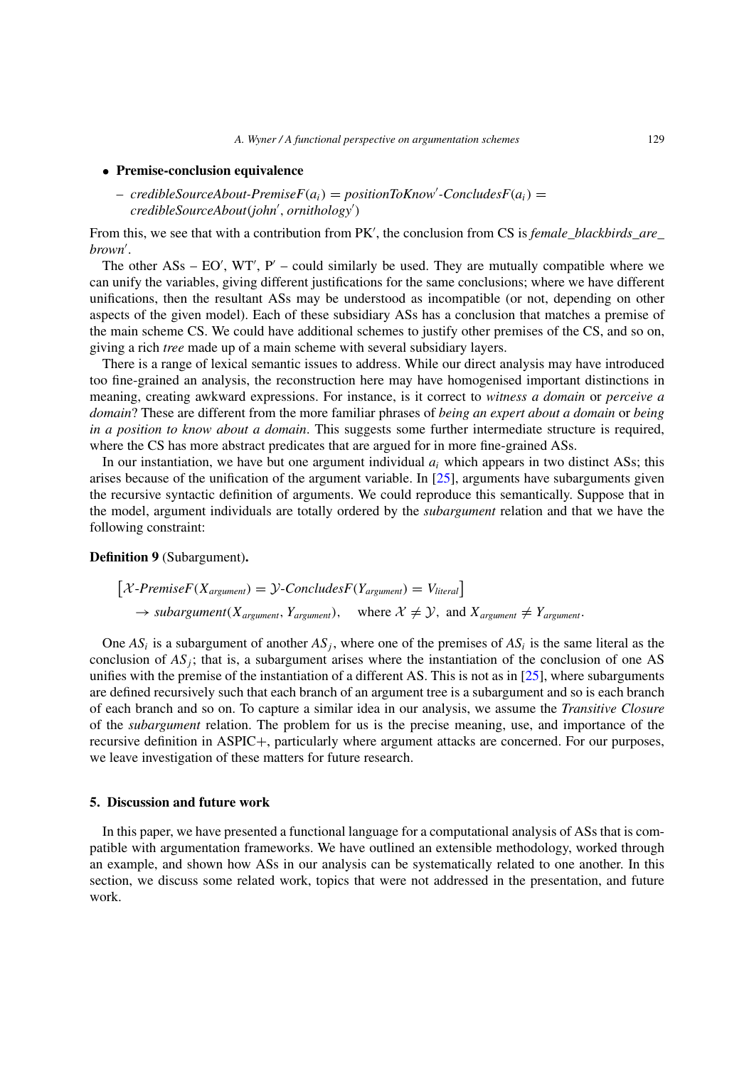### • **Premise-conclusion equivalence**

 $-$  *credibleSourceAbout-PremiseF* $(a_i)$  = *positionToKnow'-ConcludesF* $(a_i)$  = *credibleSourceAbout(john , ornithology )*

From this, we see that with a contribution from PK , the conclusion from CS is *female\_blackbirds\_are\_ brown* .

The other  $\text{ASs} - \text{EO}', \text{WT}', \text{P}' - \text{could similarly be used.}$  They are mutually compatible where we can unify the variables, giving different justifications for the same conclusions; where we have different unifications, then the resultant ASs may be understood as incompatible (or not, depending on other aspects of the given model). Each of these subsidiary ASs has a conclusion that matches a premise of the main scheme CS. We could have additional schemes to justify other premises of the CS, and so on, giving a rich *tree* made up of a main scheme with several subsidiary layers.

There is a range of lexical semantic issues to address. While our direct analysis may have introduced too fine-grained an analysis, the reconstruction here may have homogenised important distinctions in meaning, creating awkward expressions. For instance, is it correct to *witness a domain* or *perceive a domain*? These are different from the more familiar phrases of *being an expert about a domain* or *being in a position to know about a domain*. This suggests some further intermediate structure is required, where the CS has more abstract predicates that are argued for in more fine-grained ASs.

In our instantiation, we have but one argument individual *ai* which appears in two distinct ASs; this arises because of the unification of the argument variable. In [\[25\]](#page-19-4), arguments have subarguments given the recursive syntactic definition of arguments. We could reproduce this semantically. Suppose that in the model, argument individuals are totally ordered by the *subargument* relation and that we have the following constraint:

**Definition 9** (Subargument)**.**

$$
[\mathcal{X}\text{-}PremiseF(X_{argument}) = \mathcal{Y}\text{-}ConcludesF(Y_{argument}) = V_{literal}]
$$
  

$$
\rightarrow subargument(X_{argument}, Y_{argument}), \text{ where } \mathcal{X} \neq \mathcal{Y}, \text{ and } X_{argument} \neq Y_{argument}.
$$

One  $AS_i$  is a subargument of another  $AS_i$ , where one of the premises of  $AS_i$  is the same literal as the conclusion of  $AS_j$ ; that is, a subargument arises where the instantiation of the conclusion of one AS unifies with the premise of the instantiation of a different AS. This is not as in  $[25]$ , where subarguments are defined recursively such that each branch of an argument tree is a subargument and so is each branch of each branch and so on. To capture a similar idea in our analysis, we assume the *Transitive Closure* of the *subargument* relation. The problem for us is the precise meaning, use, and importance of the recursive definition in ASPIC+, particularly where argument attacks are concerned. For our purposes, we leave investigation of these matters for future research.

#### <span id="page-16-0"></span>**5. Discussion and future work**

In this paper, we have presented a functional language for a computational analysis of ASs that is compatible with argumentation frameworks. We have outlined an extensible methodology, worked through an example, and shown how ASs in our analysis can be systematically related to one another. In this section, we discuss some related work, topics that were not addressed in the presentation, and future work.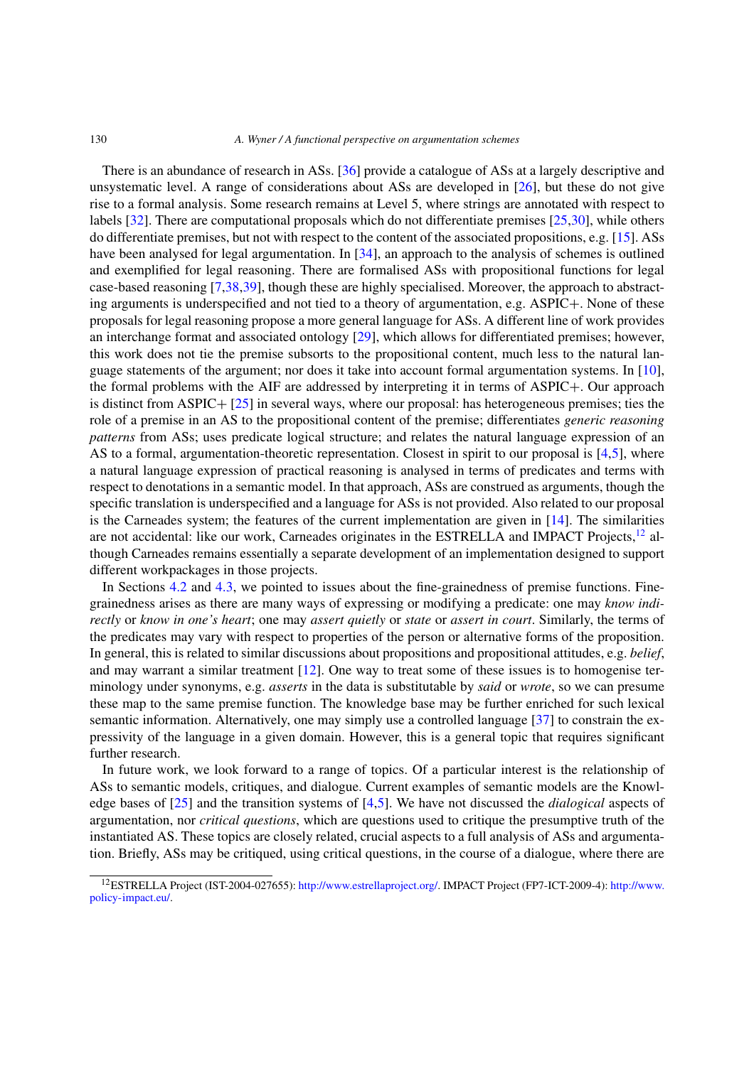There is an abundance of research in ASs. [\[36](#page-20-0)] provide a catalogue of ASs at a largely descriptive and unsystematic level. A range of considerations about ASs are developed in [\[26](#page-19-21)], but these do not give rise to a formal analysis. Some research remains at Level 5, where strings are annotated with respect to labels [\[32\]](#page-19-11). There are computational proposals which do not differentiate premises [\[25](#page-19-4)[,30\]](#page-19-8), while others do differentiate premises, but not with respect to the content of the associated propositions, e.g. [\[15\]](#page-19-10). ASs have been analysed for legal argumentation. In [\[34](#page-19-22)], an approach to the analysis of schemes is outlined and exemplified for legal reasoning. There are formalised ASs with propositional functions for legal case-based reasoning [\[7](#page-19-23)[,38](#page-20-1)[,39\]](#page-20-2), though these are highly specialised. Moreover, the approach to abstracting arguments is underspecified and not tied to a theory of argumentation, e.g. ASPIC+. None of these proposals for legal reasoning propose a more general language for ASs. A different line of work provides an interchange format and associated ontology [\[29](#page-19-24)], which allows for differentiated premises; however, this work does not tie the premise subsorts to the propositional content, much less to the natural language statements of the argument; nor does it take into account formal argumentation systems. In [\[10](#page-19-25)], the formal problems with the AIF are addressed by interpreting it in terms of ASPIC+. Our approach is distinct from ASPIC +  $[25]$  in several ways, where our proposal: has heterogeneous premises; ties the role of a premise in an AS to the propositional content of the premise; differentiates *generic reasoning patterns* from ASs; uses predicate logical structure; and relates the natural language expression of an AS to a formal, argumentation-theoretic representation. Closest in spirit to our proposal is [\[4](#page-18-3)[,5](#page-18-1)], where a natural language expression of practical reasoning is analysed in terms of predicates and terms with respect to denotations in a semantic model. In that approach, ASs are construed as arguments, though the specific translation is underspecified and a language for ASs is not provided. Also related to our proposal is the Carneades system; the features of the current implementation are given in [\[14\]](#page-19-26). The similarities are not accidental: like our work, Carneades originates in the ESTRELLA and IMPACT Projects,<sup>[12](#page-17-0)</sup> although Carneades remains essentially a separate development of an implementation designed to support different workpackages in those projects.

In Sections [4.2](#page-12-2) and [4.3,](#page-13-0) we pointed to issues about the fine-grainedness of premise functions. Finegrainedness arises as there are many ways of expressing or modifying a predicate: one may *know indirectly* or *know in one's heart*; one may *assert quietly* or *state* or *assert in court*. Similarly, the terms of the predicates may vary with respect to properties of the person or alternative forms of the proposition. In general, this is related to similar discussions about propositions and propositional attitudes, e.g. *belief*, and may warrant a similar treatment [\[12\]](#page-19-27). One way to treat some of these issues is to homogenise terminology under synonyms, e.g. *asserts* in the data is substitutable by *said* or *wrote*, so we can presume these map to the same premise function. The knowledge base may be further enriched for such lexical semantic information. Alternatively, one may simply use a controlled language [\[37\]](#page-20-3) to constrain the expressivity of the language in a given domain. However, this is a general topic that requires significant further research.

In future work, we look forward to a range of topics. Of a particular interest is the relationship of ASs to semantic models, critiques, and dialogue. Current examples of semantic models are the Knowledge bases of [\[25\]](#page-19-4) and the transition systems of [\[4](#page-18-3)[,5](#page-18-1)]. We have not discussed the *dialogical* aspects of argumentation, nor *critical questions*, which are questions used to critique the presumptive truth of the instantiated AS. These topics are closely related, crucial aspects to a full analysis of ASs and argumentation. Briefly, ASs may be critiqued, using critical questions, in the course of a dialogue, where there are

<span id="page-17-0"></span><sup>12</sup>ESTRELLA Project (IST-2004-027655): [http://www.estrellaproject.org/.](http://www.estrellaproject.org/) IMPACT Project (FP7-ICT-2009-4): [http://www.](http://www.policy-impact.eu/) [policy-impact.eu/.](http://www.policy-impact.eu/)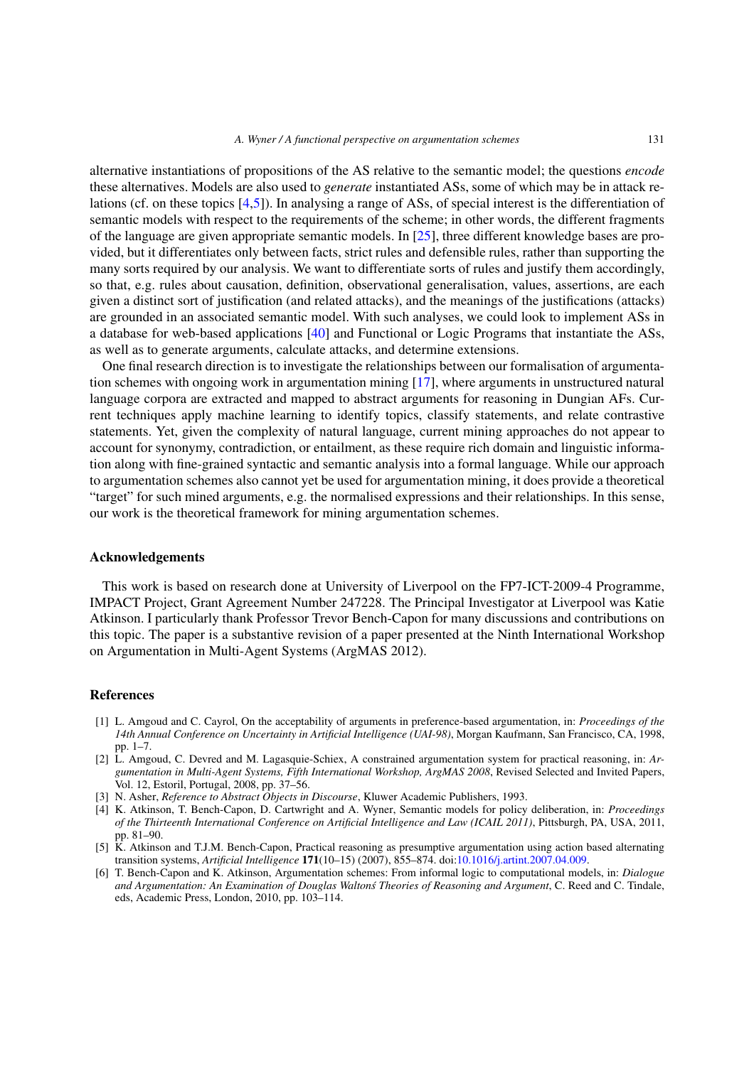alternative instantiations of propositions of the AS relative to the semantic model; the questions *encode* these alternatives. Models are also used to *generate* instantiated ASs, some of which may be in attack relations (cf. on these topics [\[4](#page-18-3)[,5](#page-18-1)]). In analysing a range of ASs, of special interest is the differentiation of semantic models with respect to the requirements of the scheme; in other words, the different fragments of the language are given appropriate semantic models. In [\[25](#page-19-4)], three different knowledge bases are provided, but it differentiates only between facts, strict rules and defensible rules, rather than supporting the many sorts required by our analysis. We want to differentiate sorts of rules and justify them accordingly, so that, e.g. rules about causation, definition, observational generalisation, values, assertions, are each given a distinct sort of justification (and related attacks), and the meanings of the justifications (attacks) are grounded in an associated semantic model. With such analyses, we could look to implement ASs in a database for web-based applications [\[40\]](#page-20-4) and Functional or Logic Programs that instantiate the ASs, as well as to generate arguments, calculate attacks, and determine extensions.

One final research direction is to investigate the relationships between our formalisation of argumentation schemes with ongoing work in argumentation mining [\[17\]](#page-19-28), where arguments in unstructured natural language corpora are extracted and mapped to abstract arguments for reasoning in Dungian AFs. Current techniques apply machine learning to identify topics, classify statements, and relate contrastive statements. Yet, given the complexity of natural language, current mining approaches do not appear to account for synonymy, contradiction, or entailment, as these require rich domain and linguistic information along with fine-grained syntactic and semantic analysis into a formal language. While our approach to argumentation schemes also cannot yet be used for argumentation mining, it does provide a theoretical "target" for such mined arguments, e.g. the normalised expressions and their relationships. In this sense, our work is the theoretical framework for mining argumentation schemes.

#### **Acknowledgements**

This work is based on research done at University of Liverpool on the FP7-ICT-2009-4 Programme, IMPACT Project, Grant Agreement Number 247228. The Principal Investigator at Liverpool was Katie Atkinson. I particularly thank Professor Trevor Bench-Capon for many discussions and contributions on this topic. The paper is a substantive revision of a paper presented at the Ninth International Workshop on Argumentation in Multi-Agent Systems (ArgMAS 2012).

#### **References**

- <span id="page-18-5"></span>[1] L. Amgoud and C. Cayrol, On the acceptability of arguments in preference-based argumentation, in: *Proceedings of the 14th Annual Conference on Uncertainty in Artificial Intelligence (UAI-98)*, Morgan Kaufmann, San Francisco, CA, 1998, pp. 1–7.
- <span id="page-18-0"></span>[2] L. Amgoud, C. Devred and M. Lagasquie-Schiex, A constrained argumentation system for practical reasoning, in: *Argumentation in Multi-Agent Systems, Fifth International Workshop, ArgMAS 2008*, Revised Selected and Invited Papers, Vol. 12, Estoril, Portugal, 2008, pp. 37–56.
- <span id="page-18-4"></span>[3] N. Asher, *Reference to Abstract Objects in Discourse*, Kluwer Academic Publishers, 1993.
- <span id="page-18-3"></span>[4] K. Atkinson, T. Bench-Capon, D. Cartwright and A. Wyner, Semantic models for policy deliberation, in: *Proceedings of the Thirteenth International Conference on Artificial Intelligence and Law (ICAIL 2011)*, Pittsburgh, PA, USA, 2011, pp. 81–90.
- <span id="page-18-1"></span>[5] K. Atkinson and T.J.M. Bench-Capon, Practical reasoning as presumptive argumentation using action based alternating transition systems, *Artificial Intelligence* **171**(10–15) (2007), 855–874. doi[:10.1016/j.artint.2007.04.009.](http://dx.doi.org/10.1016/j.artint.2007.04.009)
- <span id="page-18-2"></span>[6] T. Bench-Capon and K. Atkinson, Argumentation schemes: From informal logic to computational models, in: *Dialogue and Argumentation: An Examination of Douglas Walton´s Theories of Reasoning and Argument*, C. Reed and C. Tindale, eds, Academic Press, London, 2010, pp. 103–114.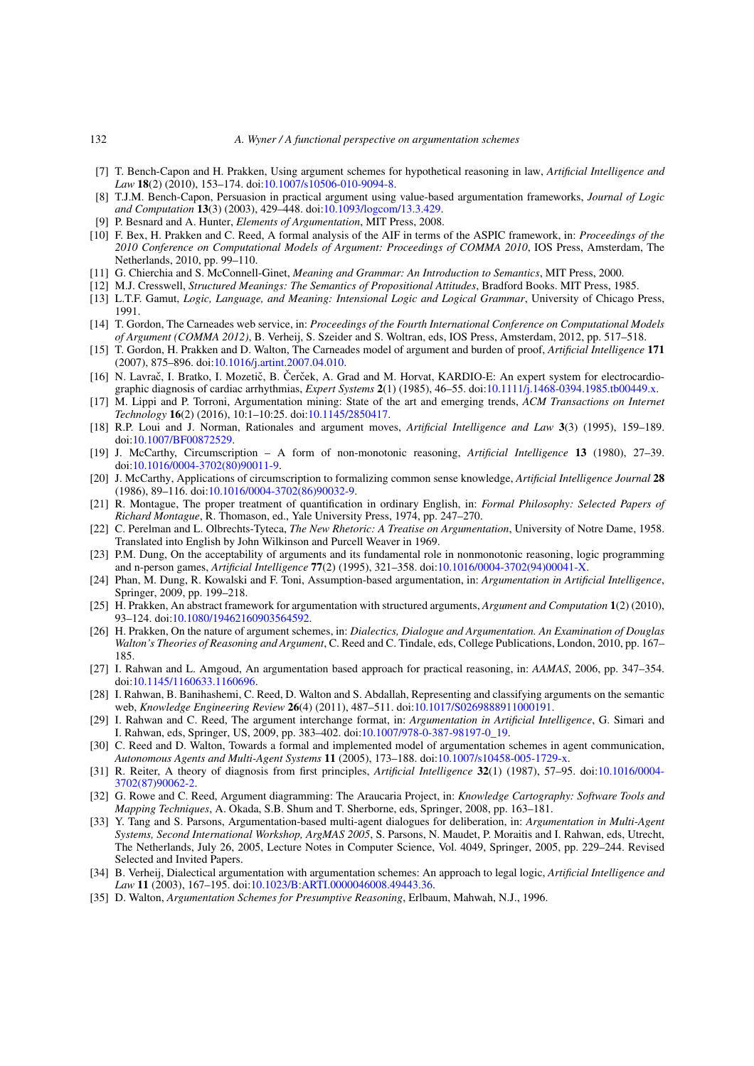- <span id="page-19-23"></span>[7] T. Bench-Capon and H. Prakken, Using argument schemes for hypothetical reasoning in law, *Artificial Intelligence and Law* **18**(2) (2010), 153–174. doi[:10.1007/s10506-010-9094-8.](http://dx.doi.org/10.1007/s10506-010-9094-8)
- <span id="page-19-19"></span>[8] T.J.M. Bench-Capon, Persuasion in practical argument using value-based argumentation frameworks, *Journal of Logic and Computation* **13**(3) (2003), 429–448. doi[:10.1093/logcom/13.3.429.](http://dx.doi.org/10.1093/logcom/13.3.429)
- <span id="page-19-2"></span>[9] P. Besnard and A. Hunter, *Elements of Argumentation*, MIT Press, 2008.
- <span id="page-19-25"></span>[10] F. Bex, H. Prakken and C. Reed, A formal analysis of the AIF in terms of the ASPIC framework, in: *Proceedings of the 2010 Conference on Computational Models of Argument: Proceedings of COMMA 2010*, IOS Press, Amsterdam, The Netherlands, 2010, pp. 99–110.
- <span id="page-19-18"></span>[11] G. Chierchia and S. McConnell-Ginet, *Meaning and Grammar: An Introduction to Semantics*, MIT Press, 2000.
- <span id="page-19-27"></span>[12] M.J. Cresswell, *Structured Meanings: The Semantics of Propositional Attitudes*, Bradford Books. MIT Press, 1985.
- <span id="page-19-17"></span>[13] L.T.F. Gamut, *Logic, Language, and Meaning: Intensional Logic and Logical Grammar*, University of Chicago Press, 1991.
- <span id="page-19-26"></span>[14] T. Gordon, The Carneades web service, in: *Proceedings of the Fourth International Conference on Computational Models of Argument (COMMA 2012)*, B. Verheij, S. Szeider and S. Woltran, eds, IOS Press, Amsterdam, 2012, pp. 517–518.
- <span id="page-19-10"></span>[15] T. Gordon, H. Prakken and D. Walton, The Carneades model of argument and burden of proof, *Artificial Intelligence* **171** (2007), 875–896. doi[:10.1016/j.artint.2007.04.010.](http://dx.doi.org/10.1016/j.artint.2007.04.010)
- <span id="page-19-12"></span>[16] N. Lavrač, I. Bratko, I. Mozetič, B. Čerček, A. Grad and M. Horvat, KARDIO-E: An expert system for electrocardiographic diagnosis of cardiac arrhythmias, *Expert Systems* **2**(1) (1985), 46–55. doi[:10.1111/j.1468-0394.1985.tb00449.x.](http://dx.doi.org/10.1111/j.1468-0394.1985.tb00449.x)
- <span id="page-19-28"></span>[17] M. Lippi and P. Torroni, Argumentation mining: State of the art and emerging trends, *ACM Transactions on Internet Technology* **16**(2) (2016), 10:1–10:25. doi[:10.1145/2850417.](http://dx.doi.org/10.1145/2850417)
- <span id="page-19-20"></span>[18] R.P. Loui and J. Norman, Rationales and argument moves, *Artificial Intelligence and Law* **3**(3) (1995), 159–189. doi[:10.1007/BF00872529.](http://dx.doi.org/10.1007/BF00872529)
- <span id="page-19-15"></span>[19] J. McCarthy, Circumscription – A form of non-monotonic reasoning, *Artificial Intelligence* **13** (1980), 27–39. doi[:10.1016/0004-3702\(80\)90011-9.](http://dx.doi.org/10.1016/0004-3702(80)90011-9)
- <span id="page-19-16"></span>[20] J. McCarthy, Applications of circumscription to formalizing common sense knowledge, *Artificial Intelligence Journal* **28** (1986), 89–116. doi[:10.1016/0004-3702\(86\)90032-9.](http://dx.doi.org/10.1016/0004-3702(86)90032-9)
- <span id="page-19-14"></span>[21] R. Montague, The proper treatment of quantification in ordinary English, in: *Formal Philosophy: Selected Papers of Richard Montague*, R. Thomason, ed., Yale University Press, 1974, pp. 247–270.
- <span id="page-19-6"></span>[22] C. Perelman and L. Olbrechts-Tyteca, *The New Rhetoric: A Treatise on Argumentation*, University of Notre Dame, 1958. Translated into English by John Wilkinson and Purcell Weaver in 1969.
- <span id="page-19-5"></span>[23] P.M. Dung, On the acceptability of arguments and its fundamental role in nonmonotonic reasoning, logic programming and n-person games, *Artificial Intelligence* **77**(2) (1995), 321–358. doi[:10.1016/0004-3702\(94\)00041-X.](http://dx.doi.org/10.1016/0004-3702(94)00041-X)
- <span id="page-19-3"></span>[24] Phan, M. Dung, R. Kowalski and F. Toni, Assumption-based argumentation, in: *Argumentation in Artificial Intelligence*, Springer, 2009, pp. 199–218.
- <span id="page-19-4"></span>[25] H. Prakken, An abstract framework for argumentation with structured arguments, *Argument and Computation* **1**(2) (2010), 93–124. doi[:10.1080/19462160903564592.](http://dx.doi.org/10.1080/19462160903564592)
- <span id="page-19-21"></span>[26] H. Prakken, On the nature of argument schemes, in: *Dialectics, Dialogue and Argumentation. An Examination of Douglas Walton's Theories of Reasoning and Argument*, C. Reed and C. Tindale, eds, College Publications, London, 2010, pp. 167– 185.
- <span id="page-19-1"></span>[27] I. Rahwan and L. Amgoud, An argumentation based approach for practical reasoning, in: *AAMAS*, 2006, pp. 347–354. doi[:10.1145/1160633.1160696.](http://dx.doi.org/10.1145/1160633.1160696)
- <span id="page-19-9"></span>[28] I. Rahwan, B. Banihashemi, C. Reed, D. Walton and S. Abdallah, Representing and classifying arguments on the semantic web, *Knowledge Engineering Review* **26**(4) (2011), 487–511. doi[:10.1017/S0269888911000191.](http://dx.doi.org/10.1017/S0269888911000191)
- <span id="page-19-24"></span>[29] I. Rahwan and C. Reed, The argument interchange format, in: *Argumentation in Artificial Intelligence*, G. Simari and I. Rahwan, eds, Springer, US, 2009, pp. 383–402. doi[:10.1007/978-0-387-98197-0\\_19.](http://dx.doi.org/10.1007/978-0-387-98197-0_19)
- <span id="page-19-8"></span>[30] C. Reed and D. Walton, Towards a formal and implemented model of argumentation schemes in agent communication, *Autonomous Agents and Multi-Agent Systems* **11** (2005), 173–188. doi[:10.1007/s10458-005-1729-x.](http://dx.doi.org/10.1007/s10458-005-1729-x)
- <span id="page-19-13"></span>[31] R. Reiter, A theory of diagnosis from first principles, *Artificial Intelligence* **32**(1) (1987), 57–95. doi[:10.1016/0004-](http://dx.doi.org/10.1016/0004-3702(87)90062-2) [3702\(87\)90062-2.](http://dx.doi.org/10.1016/0004-3702(87)90062-2)
- <span id="page-19-11"></span>[32] G. Rowe and C. Reed, Argument diagramming: The Araucaria Project, in: *Knowledge Cartography: Software Tools and Mapping Techniques*, A. Okada, S.B. Shum and T. Sherborne, eds, Springer, 2008, pp. 163–181.
- <span id="page-19-0"></span>[33] Y. Tang and S. Parsons, Argumentation-based multi-agent dialogues for deliberation, in: *Argumentation in Multi-Agent Systems, Second International Workshop, ArgMAS 2005*, S. Parsons, N. Maudet, P. Moraitis and I. Rahwan, eds, Utrecht, The Netherlands, July 26, 2005, Lecture Notes in Computer Science, Vol. 4049, Springer, 2005, pp. 229–244. Revised Selected and Invited Papers.
- <span id="page-19-22"></span>[34] B. Verheij, Dialectical argumentation with argumentation schemes: An approach to legal logic, *Artificial Intelligence and Law* **11** (2003), 167–195. doi[:10.1023/B:ARTI.0000046008.49443.36.](http://dx.doi.org/10.1023/B:ARTI.0000046008.49443.36)
- <span id="page-19-7"></span>[35] D. Walton, *Argumentation Schemes for Presumptive Reasoning*, Erlbaum, Mahwah, N.J., 1996.